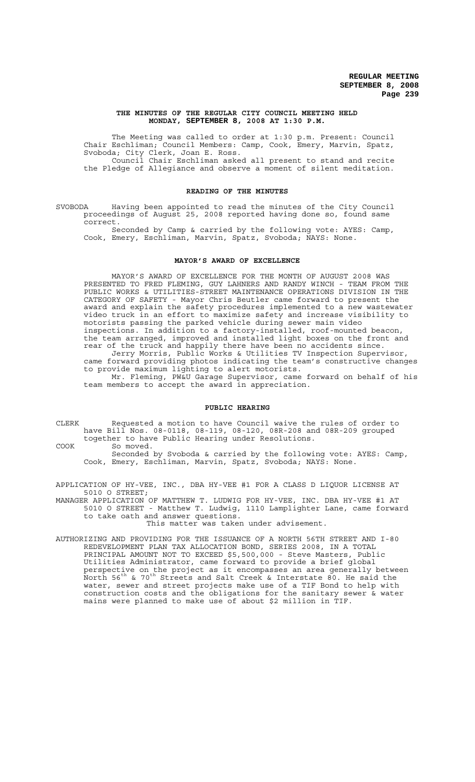### **THE MINUTES OF THE REGULAR CITY COUNCIL MEETING HELD MONDAY, SEPTEMBER 8, 2008 AT 1:30 P.M.**

The Meeting was called to order at 1:30 p.m. Present: Council Chair Eschliman; Council Members: Camp, Cook, Emery, Marvin, Spatz, Svoboda; City Clerk, Joan E. Ross. Council Chair Eschliman asked all present to stand and recite

the Pledge of Allegiance and observe a moment of silent meditation.

## **READING OF THE MINUTES**

SVOBODA Having been appointed to read the minutes of the City Council proceedings of August 25, 2008 reported having done so, found same correct.

Seconded by Camp & carried by the following vote: AYES: Camp, Cook, Emery, Eschliman, Marvin, Spatz, Svoboda; NAYS: None.

## **MAYOR'S AWARD OF EXCELLENCE**

MAYOR'S AWARD OF EXCELLENCE FOR THE MONTH OF AUGUST 2008 WAS PRESENTED TO FRED FLEMING, GUY LAHNERS AND RANDY WINCH - TEAM FROM THE PUBLIC WORKS & UTILITIES-STREET MAINTENANCE OPERATIONS DIVISION IN THE CATEGORY OF SAFETY - Mayor Chris Beutler came forward to present the award and explain the safety procedures implemented to a new wastewater video truck in an effort to maximize safety and increase visibility to motorists passing the parked vehicle during sewer main video inspections. In addition to a factory-installed, roof-mounted beacon, the team arranged, improved and installed light boxes on the front and rear of the truck and happily there have been no accidents since. Jerry Morris, Public Works & Utilities TV Inspection Supervisor, came forward providing photos indicating the team's constructive changes to provide maximum lighting to alert motorists.

Mr. Fleming, PW&U Garage Supervisor, came forward on behalf of his team members to accept the award in appreciation.

## **PUBLIC HEARING**

CLERK Requested a motion to have Council waive the rules of order to have Bill Nos. 08-0118, 08-119, 08-120, 08R-208 and 08R-209 grouped together to have Public Hearing under Resolutions. COOK So moved.

Seconded by Svoboda & carried by the following vote: AYES: Camp, Cook, Emery, Eschliman, Marvin, Spatz, Svoboda; NAYS: None.

APPLICATION OF HY-VEE, INC., DBA HY-VEE #1 FOR A CLASS D LIQUOR LICENSE AT 5010 O STREET;

MANAGER APPLICATION OF MATTHEW T. LUDWIG FOR HY-VEE, INC. DBA HY-VEE #1 AT 5010 O STREET - Matthew T. Ludwig, 1110 Lamplighter Lane, came forward to take oath and answer questions. This matter was taken under advisement.

AUTHORIZING AND PROVIDING FOR THE ISSUANCE OF A NORTH 56TH STREET AND I-80 REDEVELOPMENT PLAN TAX ALLOCATION BOND, SERIES 2008, IN A TOTAL PRINCIPAL AMOUNT NOT TO EXCEED \$5,500,000 - Steve Masters, Public Utilities Administrator, came forward to provide a brief global perspective on the project as it encompasses an area generally between North 56th & 70th Streets and Salt Creek & Interstate 80. He said the water, sewer and street projects make use of a TIF Bond to help with construction costs and the obligations for the sanitary sewer & water mains were planned to make use of about \$2 million in TIF.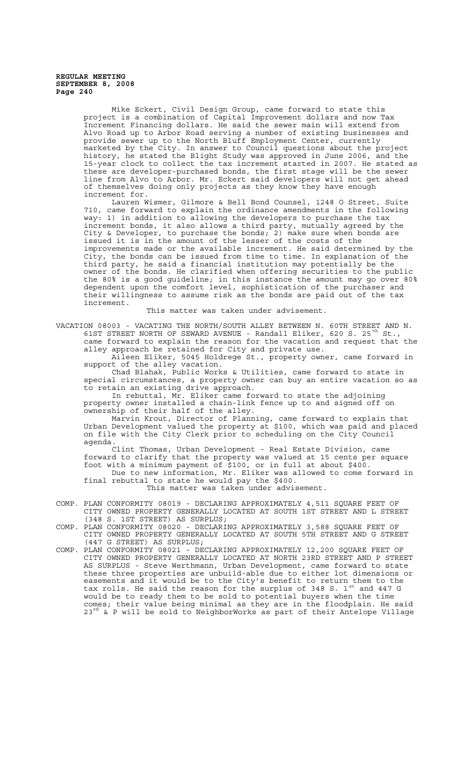Mike Eckert, Civil Design Group, came forward to state this project is a combination of Capital Improvement dollars and now Tax Increment Financing dollars. He said the sewer main will extend from Alvo Road up to Arbor Road serving a number of existing businesses and provide sewer up to the North Bluff Employment Center, currently marketed by the City. In answer to Council questions about the project history, he stated the Blight Study was approved in June 2006, and the 15-year clock to collect the tax increment started in 2007. He stated as these are developer-purchased bonds, the first stage will be the sewer line from Alvo to Arbor. Mr. Eckert said developers will not get ahead of themselves doing only projects as they know they have enough increment for.

Lauren Wismer, Gilmore & Bell Bond Counsel, 1248 O Street, Suite 710, came forward to explain the ordinance amendments in the following way: 1) in addition to allowing the developers to purchase the tax increment bonds, it also allows a third party, mutually agreed by the City & Developer, to purchase the bonds; 2) make sure when bonds are issued it is in the amount of the lesser of the costs of the improvements made or the available increment. He said determined by the City, the bonds can be issued from time to time. In explanation of the third party, he said a financial institution may potentially be the owner of the bonds. He clarified when offering securities to the public the 80% is a good guideline; in this instance the amount may go over 80% dependent upon the comfort level, sophistication of the purchaser and their willingness to assume risk as the bonds are paid out of the tax increment.

This matter was taken under advisement.

VACATION 08003 - VACATING THE NORTH/SOUTH ALLEY BETWEEN N. 60TH STREET AND N. 61ST STREET NORTH OF SEWARD AVENUE - Randall Eliker, 620 S. 25<sup>th</sup> St., came forward to explain the reason for the vacation and request that the

alley approach be retained for City and private use. Aileen Eliker, 5045 Holdrege St., property owner, came forward in

support of the alley vacation. Chad Blahak, Public Works & Utilities, came forward to state in

special circumstances, a property owner can buy an entire vacation so as to retain an existing drive approach.

In rebuttal, Mr. Eliker came forward to state the adjoining property owner installed a chain-link fence up to and signed off on ownership of their half of the alley.

Marvin Krout, Director of Planning, came forward to explain that Urban Development valued the property at \$100, which was paid and placed on file with the City Clerk prior to scheduling on the City Council agenda.

Clint Thomas, Urban Development - Real Estate Division, came forward to clarify that the property was valued at 15 cents per square foot with a minimum payment of \$100, or in full at about \$400. Due to new information, Mr. Eliker was allowed to come forward in final rebuttal to state he would pay the \$400.

This matter was taken under advisement.

- COMP. PLAN CONFORMITY 08019 DECLARING APPROXIMATELY 4,511 SQUARE FEET OF CITY OWNED PROPERTY GENERALLY LOCATED AT SOUTH 1ST STREET AND L STREET (348 S. 1ST STREET) AS SURPLUS;
- COMP. PLAN CONFORMITY 08020 DECLARING APPROXIMATELY 3,588 SQUARE FEET OF CITY OWNED PROPERTY GENERALLY LOCATED AT SOUTH 5TH STREET AND G STREET (447 G STREET) AS SURPLUS;
- COMP. PLAN CONFORMITY 08021 DECLARING APPROXIMATELY 12,200 SQUARE FEET OF CITY OWNED PROPERTY GENERALLY LOCATED AT NORTH 23RD STREET AND P STREET AS SURPLUS - Steve Werthmann, Urban Development, came forward to state these three properties are unbuild-able due to either lot dimensions or easements and it would be to the City's benefit to return them to the tax rolls. He said the reason for the surplus of 348 S.  $1^\text{st}$  and 447 G would be to ready them to be sold to potential buyers when the time comes; their value being minimal as they are in the floodplain. He said  $23<sup>rd</sup>$  & P will be sold to NeighborWorks as part of their Antelope Village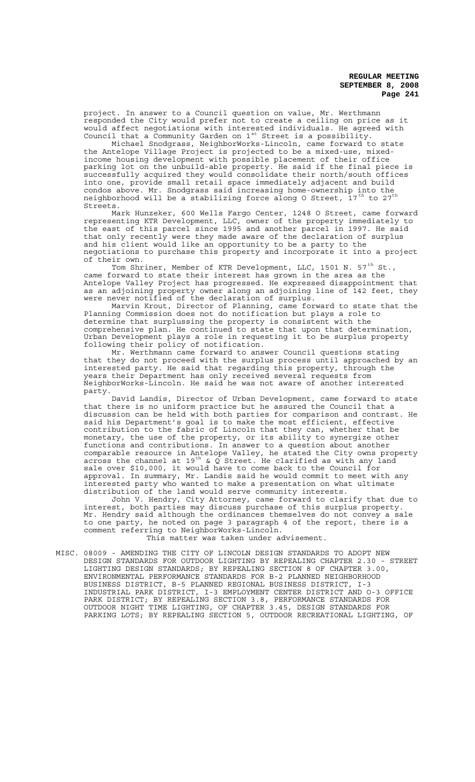project. In answer to a Council question on value, Mr. Werthmann responded the City would prefer not to create a ceiling on price as it would affect negotiations with interested individuals. He agreed with Council that a Community Garden on  $1^{st}$  Street is a possibility.

Michael Snodgrass, NeighborWorks-Lincoln, came forward to state the Antelope Village Project is projected to be a mixed-use, mixedincome housing development with possible placement of their office parking lot on the unbuild-able property. He said if the final piece is successfully acquired they would consolidate their north/south offices into one, provide small retail space immediately adjacent and build condos above. Mr. Snodgrass said increasing home-ownership into the neighborhood will be a stabilizing force along O Street,  $17^{\rm th}$  to  $27^{\rm th}$ Streets.

Mark Hunzeker, 600 Wells Fargo Center, 1248 O Street, came forward representing KTR Development, LLC, owner of the property immediately to the east of this parcel since 1995 and another parcel in 1997. He said that only recently were they made aware of the declaration of surplus and his client would like an opportunity to be a party to the negotiations to purchase this property and incorporate it into a project of their own.

Tom Shriner, Member of KTR Development, LLC, 1501 N. 57<sup>th</sup> St., came forward to state their interest has grown in the area as the Antelope Valley Project has progressed. He expressed disappointment that as an adjoining property owner along an adjoining line of 142 feet, they were never notified of the declaration of surplus.

Marvin Krout, Director of Planning, came forward to state that the Planning Commission does not do notification but plays a role to determine that surplussing the property is consistent with the comprehensive plan. He continued to state that upon that determination, Urban Development plays a role in requesting it to be surplus property following their policy of notification.

Mr. Werthmann came forward to answer Council questions stating that they do not proceed with the surplus process until approached by an interested party. He said that regarding this property, through the years their Department has only received several requests from NeighborWorks-Lincoln. He said he was not aware of another interested party.

David Landis, Director of Urban Development, came forward to state that there is no uniform practice but he assured the Council that a discussion can be held with both parties for comparison and contrast. He said his Department's goal is to make the most efficient, effective contribution to the fabric of Lincoln that they can, whether that be monetary, the use of the property, or its ability to synergize other functions and contributions. In answer to a question about another comparable resource in Antelope Valley, he stated the City owns property across the channel at 19<sup>th</sup> & Q Street. He clarified as with any land sale over \$10,000, it would have to come back to the Council for approval. In summary, Mr. Landis said he would commit to meet with any interested party who wanted to make a presentation on what ultimate distribution of the land would serve community interests.

John V. Hendry, City Attorney, came forward to clarify that due to interest, both parties may discuss purchase of this surplus property. Mr. Hendry said although the ordinances themselves do not convey a sale to one party, he noted on page 3 paragraph 4 of the report, there is a comment referring to NeighborWorks-Lincoln.

This matter was taken under advisement.

MISC. 08009 - AMENDING THE CITY OF LINCOLN DESIGN STANDARDS TO ADOPT NEW DESIGN STANDARDS FOR OUTDOOR LIGHTING BY REPEALING CHAPTER 2.30 - STREET LIGHTING DESIGN STANDARDS; BY REPEALING SECTION 8 OF CHAPTER 3.00, ENVIRONMENTAL PERFORMANCE STANDARDS FOR B-2 PLANNED NEIGHBORHOOD BUSINESS DISTRICT, B-5 PLANNED REGIONAL BUSINESS DISTRICT, I-3 INDUSTRIAL PARK DISTRICT, I-3 EMPLOYMENT CENTER DISTRICT AND O-3 OFFICE PARK DISTRICT; BY REPEALING SECTION 3.8, PERFORMANCE STANDARDS FOR OUTDOOR NIGHT TIME LIGHTING, OF CHAPTER 3.45, DESIGN STANDARDS FOR PARKING LOTS; BY REPEALING SECTION 5, OUTDOOR RECREATIONAL LIGHTING, OF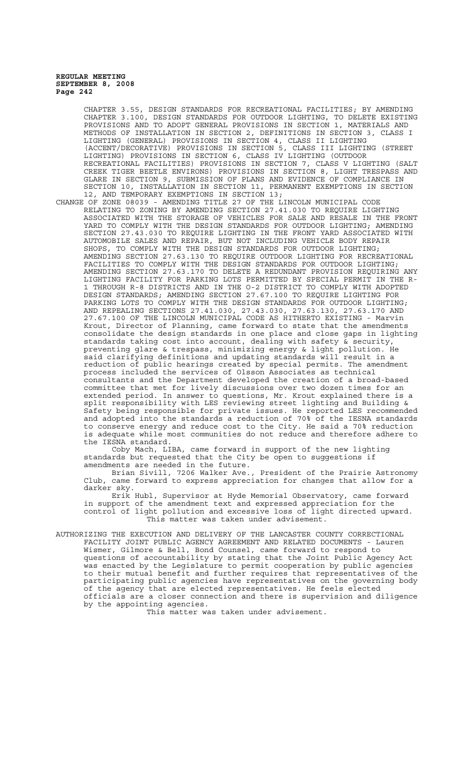CHAPTER 3.55, DESIGN STANDARDS FOR RECREATIONAL FACILITIES; BY AMENDING CHAPTER 3.100, DESIGN STANDARDS FOR OUTDOOR LIGHTING, TO DELETE EXISTING PROVISIONS AND TO ADOPT GENERAL PROVISIONS IN SECTION 1, MATERIALS AND METHODS OF INSTALLATION IN SECTION 2, DEFINITIONS IN SECTION 3, CLASS I LIGHTING (GENERAL) PROVISIONS IN SECTION 4, CLASS II LIGHTING (ACCENT/DECORATIVE) PROVISIONS IN SECTION 5, CLASS III LIGHTING (STREET LIGHTING) PROVISIONS IN SECTION 6, CLASS IV LIGHTING (OUTDOOR RECREATIONAL FACILITIES) PROVISIONS IN SECTION 7, CLASS V LIGHTING (SALT CREEK TIGER BEETLE ENVIRONS) PROVISIONS IN SECTION 8, LIGHT TRESPASS AND GLARE IN SECTION 9, SUBMISSION OF PLANS AND EVIDENCE OF COMPLIANCE IN SECTION 10, INSTALLATION IN SECTION 11, PERMANENT EXEMPTIONS IN SECTION 12, AND TEMPORARY EXEMPTIONS IN SECTION 13;

CHANGE OF ZONE 08039 - AMENDING TITLE 27 OF THE LINCOLN MUNICIPAL CODE RELATING TO ZONING BY AMENDING SECTION 27.41.030 TO REQUIRE LIGHTING ASSOCIATED WITH THE STORAGE OF VEHICLES FOR SALE AND RESALE IN THE FRONT YARD TO COMPLY WITH THE DESIGN STANDARDS FOR OUTDOOR LIGHTING; AMENDING SECTION 27.43.030 TO REQUIRE LIGHTING IN THE FRONT YARD ASSOCIATED WITH AUTOMOBILE SALES AND REPAIR, BUT NOT INCLUDING VEHICLE BODY REPAIR SHOPS, TO COMPLY WITH THE DESIGN STANDARDS FOR OUTDOOR LIGHTING; AMENDING SECTION 27.63.130 TO REQUIRE OUTDOOR LIGHTING FOR RECREATIONAL FACILITIES TO COMPLY WITH THE DESIGN STANDARDS FOR OUTDOOR LIGHTING; AMENDING SECTION 27.63.170 TO DELETE A REDUNDANT PROVISION REQUIRING ANY LIGHTING FACILITY FOR PARKING LOTS PERMITTED BY SPECIAL PERMIT IN THE R-1 THROUGH R-8 DISTRICTS AND IN THE O-2 DISTRICT TO COMPLY WITH ADOPTED DESIGN STANDARDS; AMENDING SECTION 27.67.100 TO REQUIRE LIGHTING FOR PARKING LOTS TO COMPLY WITH THE DESIGN STANDARDS FOR OUTDOOR LIGHTING; AND REPEALING SECTIONS 27.41.030, 27.43.030, 27.63.130, 27.63.170 AND 27.67.100 OF THE LINCOLN MUNICIPAL CODE AS HITHERTO EXISTING - Marvin Krout, Director of Planning, came forward to state that the amendments consolidate the design standards in one place and close gaps in lighting standards taking cost into account, dealing with safety & security, preventing glare & trespass, minimizing energy & light pollution. He said clarifying definitions and updating standards will result in a reduction of public hearings created by special permits. The amendment process included the services of Olsson Associates as technical consultants and the Department developed the creation of a broad-based committee that met for lively discussions over two dozen times for an extended period. In answer to questions, Mr. Krout explained there is a split responsibility with LES reviewing street lighting and Building & Safety being responsible for private issues. He reported LES recommended and adopted into the standards a reduction of 70% of the IESNA standards to conserve energy and reduce cost to the City. He said a 70% reduction is adequate while most communities do not reduce and therefore adhere to the IESNA standard.

Coby Mach, LIBA, came forward in support of the new lighting standards but requested that the City be open to suggestions if amendments are needed in the future.

Brian Sivill, 7206 Walker Ave., President of the Prairie Astronomy Club, came forward to express appreciation for changes that allow for a darker sky.

Erik Hubl, Supervisor at Hyde Memorial Observatory, came forward in support of the amendment text and expressed appreciation for the control of light pollution and excessive loss of light directed upward. This matter was taken under advisement.

AUTHORIZING THE EXECUTION AND DELIVERY OF THE LANCASTER COUNTY CORRECTIONAL FACILITY JOINT PUBLIC AGENCY AGREEMENT AND RELATED DOCUMENTS - Lauren Wismer, Gilmore & Bell, Bond Counsel, came forward to respond to questions of accountability by stating that the Joint Public Agency Act was enacted by the Legislature to permit cooperation by public agencies to their mutual benefit and further requires that representatives of the participating public agencies have representatives on the governing body of the agency that are elected representatives. He feels elected officials are a closer connection and there is supervision and diligence by the appointing agencies.

This matter was taken under advisement.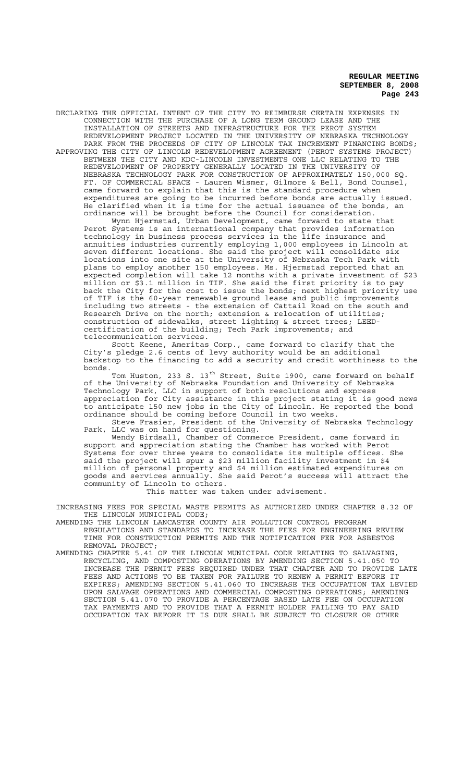DECLARING THE OFFICIAL INTENT OF THE CITY TO REIMBURSE CERTAIN EXPENSES IN CONNECTION WITH THE PURCHASE OF A LONG TERM GROUND LEASE AND THE INSTALLATION OF STREETS AND INFRASTRUCTURE FOR THE PEROT SYSTEM REDEVELOPMENT PROJECT LOCATED IN THE UNIVERSITY OF NEBRASKA TECHNOLOGY PARK FROM THE PROCEEDS OF CITY OF LINCOLN TAX INCREMENT FINANCING BONDS;

APPROVING THE CITY OF LINCOLN REDEVELOPMENT AGREEMENT (PEROT SYSTEMS PROJECT) BETWEEN THE CITY AND KDC-LINCOLN INVESTMENTS ONE LLC RELATING TO THE REDEVELOPMENT OF PROPERTY GENERALLY LOCATED IN THE UNIVERSITY OF NEBRASKA TECHNOLOGY PARK FOR CONSTRUCTION OF APPROXIMATELY 150,000 SQ. FT. OF COMMERCIAL SPACE - Lauren Wismer, Gilmore & Bell, Bond Counsel, came forward to explain that this is the standard procedure when expenditures are going to be incurred before bonds are actually issued. He clarified when it is time for the actual issuance of the bonds, an ordinance will be brought before the Council for consideration.

Wynn Hjermstad, Urban Development, came forward to state that Perot Systems is an international company that provides information technology in business process services in the life insurance and annuities industries currently employing 1,000 employees in Lincoln at seven different locations. She said the project will consolidate six locations into one site at the University of Nebraska Tech Park with plans to employ another 150 employees. Ms. Hjermstad reported that an expected completion will take 12 months with a private investment of \$23 million or \$3.1 million in TIF. She said the first priority is to pay back the City for the cost to issue the bonds; next highest priority use of TIF is the 60-year renewable ground lease and public improvements including two streets - the extension of Cattail Road on the south and Research Drive on the north; extension & relocation of utilities; construction of sidewalks, street lighting & street trees; LEEDcertification of the building; Tech Park improvements; and telecommunication services.

Scott Keene, Ameritas Corp., came forward to clarify that the City's pledge 2.6 cents of levy authority would be an additional backstop to the financing to add a security and credit worthiness to the bonds.

Tom Huston, 233 S. 13<sup>th</sup> Street, Suite 1900, came forward on behalf of the University of Nebraska Foundation and University of Nebraska Technology Park, LLC in support of both resolutions and express appreciation for City assistance in this project stating it is good news to anticipate 150 new jobs in the City of Lincoln. He reported the bond ordinance should be coming before Council in two weeks.

Steve Frasier, President of the University of Nebraska Technology Park, LLC was on hand for questioning.

Wendy Birdsall, Chamber of Commerce President, came forward in support and appreciation stating the Chamber has worked with Perot Systems for over three years to consolidate its multiple offices. She said the project will spur a \$23 million facility investment in \$4 million of personal property and \$4 million estimated expenditures on goods and services annually. She said Perot's success will attract the community of Lincoln to others.

This matter was taken under advisement.

INCREASING FEES FOR SPECIAL WASTE PERMITS AS AUTHORIZED UNDER CHAPTER 8.32 OF THE LINCOLN MUNICIPAL CODE;

AMENDING THE LINCOLN LANCASTER COUNTY AIR POLLUTION CONTROL PROGRAM REGULATIONS AND STANDARDS TO INCREASE THE FEES FOR ENGINEERING REVIEW TIME FOR CONSTRUCTION PERMITS AND THE NOTIFICATION FEE FOR ASBESTOS REMOVAL PROJECT;

AMENDING CHAPTER 5.41 OF THE LINCOLN MUNICIPAL CODE RELATING TO SALVAGING, RECYCLING, AND COMPOSTING OPERATIONS BY AMENDING SECTION 5.41.050 TO INCREASE THE PERMIT FEES REQUIRED UNDER THAT CHAPTER AND TO PROVIDE LATE FEES AND ACTIONS TO BE TAKEN FOR FAILURE TO RENEW A PERMIT BEFORE IT EXPIRES; AMENDING SECTION 5.41.060 TO INCREASE THE OCCUPATION TAX LEVIED UPON SALVAGE OPERATIONS AND COMMERCIAL COMPOSTING OPERATIONS; AMENDING SECTION 5.41.070 TO PROVIDE A PERCENTAGE BASED LATE FEE ON OCCUPATION TAX PAYMENTS AND TO PROVIDE THAT A PERMIT HOLDER FAILING TO PAY SAID OCCUPATION TAX BEFORE IT IS DUE SHALL BE SUBJECT TO CLOSURE OR OTHER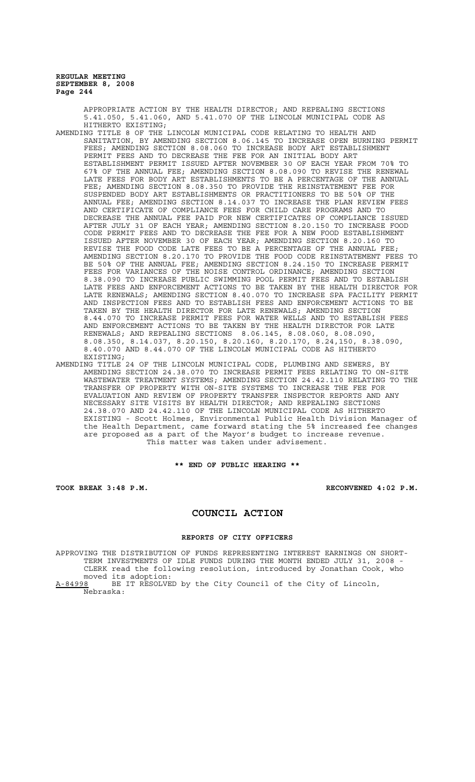APPROPRIATE ACTION BY THE HEALTH DIRECTOR; AND REPEALING SECTIONS 5.41.050, 5.41.060, AND 5.41.070 OF THE LINCOLN MUNICIPAL CODE AS HITHERTO EXISTING;

- AMENDING TITLE 8 OF THE LINCOLN MUNICIPAL CODE RELATING TO HEALTH AND SANITATION, BY AMENDING SECTION 8.06.145 TO INCREASE OPEN BURNING PERMIT FEES; AMENDING SECTION 8.08.060 TO INCREASE BODY ART ESTABLISHMENT PERMIT FEES AND TO DECREASE THE FEE FOR AN INITIAL BODY ART ESTABLISHMENT PERMIT ISSUED AFTER NOVEMBER 30 OF EACH YEAR FROM 70% TO 67% OF THE ANNUAL FEE; AMENDING SECTION 8.08.090 TO REVISE THE RENEWAL LATE FEES FOR BODY ART ESTABLISHMENTS TO BE A PERCENTAGE OF THE ANNUAL FEE; AMENDING SECTION 8.08.350 TO PROVIDE THE REINSTATEMENT FEE FOR SUSPENDED BODY ART ESTABLISHMENTS OR PRACTITIONERS TO BE 50% OF THE ANNUAL FEE; AMENDING SECTION 8.14.037 TO INCREASE THE PLAN REVIEW FEES AND CERTIFICATE OF COMPLIANCE FEES FOR CHILD CARE PROGRAMS AND TO DECREASE THE ANNUAL FEE PAID FOR NEW CERTIFICATES OF COMPLIANCE ISSUED AFTER JULY 31 OF EACH YEAR; AMENDING SECTION 8.20.150 TO INCREASE FOOD CODE PERMIT FEES AND TO DECREASE THE FEE FOR A NEW FOOD ESTABLISHMENT ISSUED AFTER NOVEMBER 30 OF EACH YEAR; AMENDING SECTION 8.20.160 TO REVISE THE FOOD CODE LATE FEES TO BE A PERCENTAGE OF THE ANNUAL FEE; AMENDING SECTION 8.20.170 TO PROVIDE THE FOOD CODE REINSTATEMENT FEES TO BE 50% OF THE ANNUAL FEE; AMENDING SECTION 8.24.150 TO INCREASE PERMIT FEES FOR VARIANCES OF THE NOISE CONTROL ORDINANCE; AMENDING SECTION 8.38.090 TO INCREASE PUBLIC SWIMMING POOL PERMIT FEES AND TO ESTABLISH LATE FEES AND ENFORCEMENT ACTIONS TO BE TAKEN BY THE HEALTH DIRECTOR FOR LATE RENEWALS; AMENDING SECTION 8.40.070 TO INCREASE SPA FACILITY PERMIT AND INSPECTION FEES AND TO ESTABLISH FEES AND ENFORCEMENT ACTIONS TO BE TAKEN BY THE HEALTH DIRECTOR FOR LATE RENEWALS; AMENDING SECTION 8.44.070 TO INCREASE PERMIT FEES FOR WATER WELLS AND TO ESTABLISH FEES AND ENFORCEMENT ACTIONS TO BE TAKEN BY THE HEALTH DIRECTOR FOR LATE RENEWALS; AND REPEALING SECTIONS 8.06.145, 8.08.060, 8.08.090, 8.08.350, 8.14.037, 8.20.150, 8.20.160, 8.20.170, 8.24,150, 8.38.090, 8.40.070 AND 8.44.070 OF THE LINCOLN MUNICIPAL CODE AS HITHERTO EXISTING;
- AMENDING TITLE 24 OF THE LINCOLN MUNICIPAL CODE, PLUMBING AND SEWERS, AMENDING SECTION 24.38.070 TO INCREASE PERMIT FEES RELATING TO ON-SITE WASTEWATER TREATMENT SYSTEMS; AMENDING SECTION 24.42.110 RELATING TO THE TRANSFER OF PROPERTY WITH ON-SITE SYSTEMS TO INCREASE THE FEE FOR EVALUATION AND REVIEW OF PROPERTY TRANSFER INSPECTOR REPORTS AND ANY NECESSARY SITE VISITS BY HEALTH DIRECTOR; AND REPEALING SECTIONS 24.38.070 AND 24.42.110 OF THE LINCOLN MUNICIPAL CODE AS HITHERTO EXISTING - Scott Holmes, Environmental Public Health Division Manager of the Health Department, came forward stating the 5% increased fee changes are proposed as a part of the Mayor's budget to increase revenue. This matter was taken under advisement.

# **\*\* END OF PUBLIC HEARING \*\***

**TOOK BREAK 3:48 P.M. RECONVENED 4:02 P.M.**

# **COUNCIL ACTION**

## **REPORTS OF CITY OFFICERS**

APPROVING THE DISTRIBUTION OF FUNDS REPRESENTING INTEREST EARNINGS ON SHORT-TERM INVESTMENTS OF IDLE FUNDS DURING THE MONTH ENDED JULY 31, 2008 - CLERK read the following resolution, introduced by Jonathan Cook, who moved its adoption:<br>A-84998 BE IT RESOLVE BE IT RESOLVED by the City Council of the City of Lincoln,

Nebraska: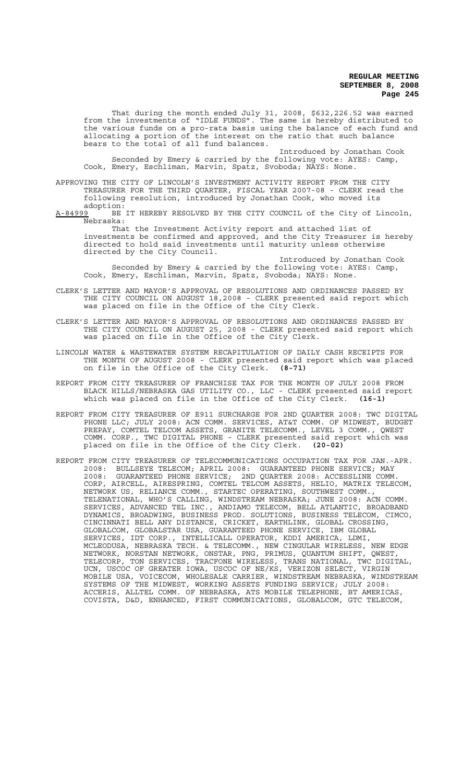That during the month ended July 31, 2008, \$632,226.52 was earned from the investments of "IDLE FUNDS". The same is hereby distributed to the various funds on a pro-rata basis using the balance of each fund and allocating a portion of the interest on the ratio that such balance bears to the total of all fund balances.

Introduced by Jonathan Cook Seconded by Emery & carried by the following vote: AYES: Camp, Cook, Emery, Eschliman, Marvin, Spatz, Svoboda; NAYS: None.

APPROVING THE CITY OF LINCOLN'S INVESTMENT ACTIVITY REPORT FROM THE CITY TREASURER FOR THE THIRD QUARTER, FISCAL YEAR 2007-08 - CLERK read the following resolution, introduced by Jonathan Cook, who moved its

adoption:<br>A-84999 BE BE IT HEREBY RESOLVED BY THE CITY COUNCIL of the City of Lincoln, Nebraska:

That the Investment Activity report and attached list of investments be confirmed and approved, and the City Treasurer is hereby directed to hold said investments until maturity unless otherwise directed by the City Council.

Introduced by Jonathan Cook Seconded by Emery & carried by the following vote: AYES: Camp, Cook, Emery, Eschliman, Marvin, Spatz, Svoboda; NAYS: None.

- CLERK'S LETTER AND MAYOR'S APPROVAL OF RESOLUTIONS AND ORDINANCES PASSED BY THE CITY COUNCIL ON AUGUST 18,2008 - CLERK presented said report which was placed on file in the Office of the City Clerk.
- CLERK'S LETTER AND MAYOR'S APPROVAL OF RESOLUTIONS AND ORDINANCES PASSED BY THE CITY COUNCIL ON AUGUST 25, 2008 - CLERK presented said report which was placed on file in the Office of the City Clerk.
- LINCOLN WATER & WASTEWATER SYSTEM RECAPITULATION OF DAILY CASH RECEIPTS FOR THE MONTH OF AUGUST 2008 - CLERK presented said report which was placed on file in the Office of the City Clerk. **(8-71)**
- REPORT FROM CITY TREASURER OF FRANCHISE TAX FOR THE MONTH OF JULY 2008 FROM BLACK HILLS/NEBRASKA GAS UTILITY CO., LLC - CLERK presented said report which was placed on file in the Office of the City Clerk. **(16-1)**
- REPORT FROM CITY TREASURER OF E911 SURCHARGE FOR 2ND QUARTER 2008: TWC DIGITAL PHONE LLC; JULY 2008: ACN COMM. SERVICES, AT&T COMM. OF MIDWEST, BUDGET PREPAY, COMTEL TELCOM ASSETS, GRANITE TELECOMM., LEVEL 3 COMM., QWEST COMM. CORP., TWC DIGITAL PHONE - CLERK presented said report which was placed on file in the Office of the City Clerk. **(20-02)**
- REPORT FROM CITY TREASURER OF TELECOMMUNICATIONS OCCUPATION TAX FOR JAN.-APR. 2008: BULLSEYE TELECOM; APRIL 2008: GUARANTEED PHONE SERVICE; MAY 2008: GUARANTEED PHONE SERVICE; 2ND QUARTER 2008: ACCESSLINE COMM. CORP, AIRCELL, AIRESPRING, COMTEL TELCOM ASSETS, HELIO, MATRIX TELECOM, NETWORK US, RELIANCE COMM., STARTEC OPERATING, SOUTHWEST COMM., TELENATIONAL, WHO'S CALLING, WINDSTREAM NEBRASKA; JUNE 2008: ACN COMM. SERVICES, ADVANCED TEL INC., ANDIAMO TELECOM, BELL ATLANTIC, BROADBAND DYNAMICS, BROADWING, BUSINESS PROD. SOLUTIONS, BUSINESS TELECOM, CIMCO, CINCINNATI BELL ANY DISTANCE, CRICKET, EARTHLINK, GLOBAL CROSSING, GLOBALCOM, GLOBALSTAR USA, GUARANTEED PHONE SERVICE, IBM GLOBAL SERVICES, IDT CORP., INTELLICALL OPERATOR, KDDI AMERICA, LDMI, MCLEODUSA, NEBRASKA TECH. & TELECOMM., NEW CINGULAR WIRELESS, NEW EDGE NETWORK, NORSTAN NETWORK, ONSTAR, PNG, PRIMUS, QUANTUM SHIFT, QWEST, TELECORP, TON SERVICES, TRACFONE WIRELESS, TRANS NATIONAL, TWC DIGITAL, UCN, USCOC OF GREATER IOWA, USCOC OF NE/KS, VERIZON SELECT, VIRGIN MOBILE USA, VOICECOM, WHOLESALE CARRIER, WINDSTREAM NEBRASKA, WINDSTREAM SYSTEMS OF THE MIDWEST, WORKING ASSETS FUNDING SERVICE; JULY 2008: ACCERIS, ALLTEL COMM. OF NEBRASKA, ATS MOBILE TELEPHONE, BT AMERICAS, COVISTA, D&D, ENHANCED, FIRST COMMUNICATIONS, GLOBALCOM, GTC TELECOM,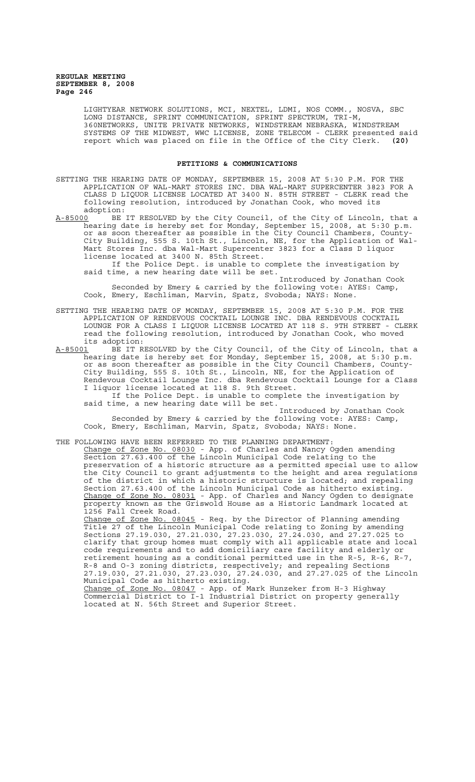LIGHTYEAR NETWORK SOLUTIONS, MCI, NEXTEL, LDMI, NOS COMM., NOSVA, SBC LONG DISTANCE, SPRINT COMMUNICATION, SPRINT SPECTRUM, TRI-M, 360NETWORKS, UNITE PRIVATE NETWORKS, WINDSTREAM NEBRASKA, WINDSTREAM SYSTEMS OF THE MIDWEST, WWC LICENSE, ZONE TELECOM - CLERK presented said report which was placed on file in the Office of the City Clerk. **(20)**

# **PETITIONS & COMMUNICATIONS**

SETTING THE HEARING DATE OF MONDAY, SEPTEMBER 15, 2008 AT 5:30 P.M. FOR THE APPLICATION OF WAL-MART STORES INC. DBA WAL-MART SUPERCENTER 3823 FOR A CLASS D LIQUOR LICENSE LOCATED AT 3400 N. 85TH STREET - CLERK read the following resolution, introduced by Jonathan Cook, who moved its

adoption:<br>A-85000 BE BE IT RESOLVED by the City Council, of the City of Lincoln, that a hearing date is hereby set for Monday, September 15, 2008, at 5:30 p.m. or as soon thereafter as possible in the City Council Chambers, County-City Building, 555 S. 10th St., Lincoln, NE, for the Application of Wal-Mart Stores Inc. dba Wal-Mart Supercenter 3823 for a Class D liquor license located at 3400 N. 85th Street.

If the Police Dept. is unable to complete the investigation by said time, a new hearing date will be set.

Introduced by Jonathan Cook Seconded by Emery & carried by the following vote: AYES: Camp, Cook, Emery, Eschliman, Marvin, Spatz, Svoboda; NAYS: None.

SETTING THE HEARING DATE OF MONDAY, SEPTEMBER 15, 2008 AT 5:30 P.M. FOR THE APPLICATION OF RENDEVOUS COCKTAIL LOUNGE INC. DBA RENDEVOUS COCKTAIL LOUNGE FOR A CLASS I LIQUOR LICENSE LOCATED AT 118 S. 9TH STREET - CLERK read the following resolution, introduced by Jonathan Cook, who moved

its adoption:<br><u>A-85001</u> BE IT R A-85001 BE IT RESOLVED by the City Council, of the City of Lincoln, that a hearing date is hereby set for Monday, September 15, 2008, at 5:30 p.m. or as soon thereafter as possible in the City Council Chambers, County-City Building, 555 S. 10th St., Lincoln, NE, for the Application of Rendevous Cocktail Lounge Inc. dba Rendevous Cocktail Lounge for a Class I liquor license located at 118 S. 9th Street.

If the Police Dept. is unable to complete the investigation by said time, a new hearing date will be set. Introduced by Jonathan Cook

Seconded by Emery & carried by the following vote: AYES: Camp, Cook, Emery, Eschliman, Marvin, Spatz, Svoboda; NAYS: None.

THE FOLLOWING HAVE BEEN REFERRED TO THE PLANNING DEPARTMENT:

Change of Zone No. 08030 - App. of Charles and Nancy Ogden amending Section 27.63.400 of the Lincoln Municipal Code relating to the preservation of a historic structure as a permitted special use to allow the City Council to grant adjustments to the height and area regulations of the district in which a historic structure is located; and repealing Section 27.63.400 of the Lincoln Municipal Code as hitherto existing. Change of Zone No. 08031 - App. of Charles and Nancy Ogden to designate property known as the Griswold House as a Historic Landmark located at 1256 Fall Creek Road.

Change of Zone No. 08045 - Req. by the Director of Planning amending Title 27 of the Lincoln Municipal Code relating to Zoning by amending Sections 27.19.030, 27.21.030, 27.23.030, 27.24.030, and 27.27.025 to clarify that group homes must comply with all applicable state and local code requirements and to add domiciliary care facility and elderly or retirement housing as a conditional permitted use in the R-5, R-6, R-7, R-8 and O-3 zoning districts, respectively; and repealing Sections 27.19.030, 27.21.030, 27.23.030, 27.24.030, and 27.27.025 of the Lincoln Municipal Code as hitherto existing.

Change of Zone No. 08047 - App. of Mark Hunzeker from H-3 Highway Commercial District to I-1 Industrial District on property generally located at N. 56th Street and Superior Street.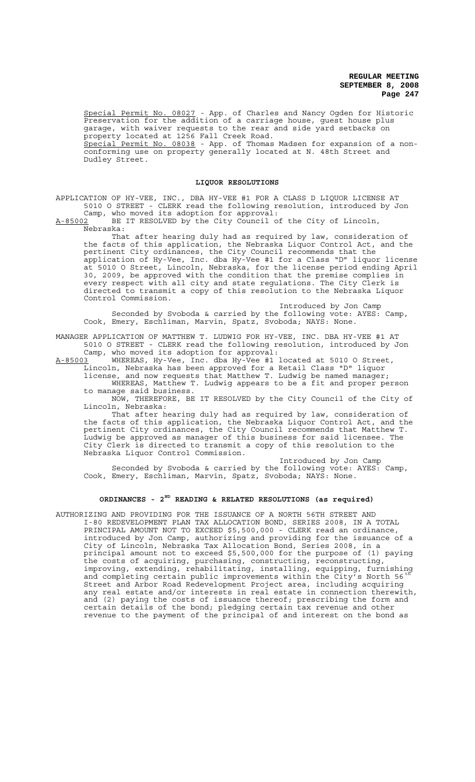Special Permit No. 08027 - App. of Charles and Nancy Ogden for Historic Preservation for the addition of a carriage house, guest house plus garage, with waiver requests to the rear and side yard setbacks on property located at 1256 Fall Creek Road. Special Permit No. 08038 - App. of Thomas Madsen for expansion of a nonconforming use on property generally located at N. 48th Street and Dudley Street.

# **LIQUOR RESOLUTIONS**

APPLICATION OF HY-VEE, INC., DBA HY-VEE #1 FOR A CLASS D LIQUOR LICENSE AT 5010 O STREET - CLERK read the following resolution, introduced by Jon Camp, who moved its adoption for approval:

A-85002 BE IT RESOLVED by the City Council of the City of Lincoln, Nebraska:

That after hearing duly had as required by law, consideration of the facts of this application, the Nebraska Liquor Control Act, and the pertinent City ordinances, the City Council recommends that the application of Hy-Vee, Inc. dba Hy-Vee #1 for a Class "D" liquor license at 5010 O Street, Lincoln, Nebraska, for the license period ending April 30, 2009, be approved with the condition that the premise complies in every respect with all city and state regulations. The City Clerk is directed to transmit a copy of this resolution to the Nebraska Liquor Control Commission.

Introduced by Jon Camp Seconded by Svoboda & carried by the following vote: AYES: Camp, Cook, Emery, Eschliman, Marvin, Spatz, Svoboda; NAYS: None.

MANAGER APPLICATION OF MATTHEW T. LUDWIG FOR HY-VEE, INC. DBA HY-VEE #1 AT 5010 O STREET - CLERK read the following resolution, introduced by Jon Camp, who moved its adoption for approval:

 $A-85003$  WHEREAS, Hy-Vee, Inc. dba Hy-Vee #1 located at 5010 O Street, Lincoln, Nebraska has been approved for a Retail Class "D" liquor

license, and now requests that Matthew T. Ludwig be named manager; WHEREAS, Matthew T. Ludwig appears to be a fit and proper person to manage said business.

NOW, THEREFORE, BE IT RESOLVED by the City Council of the City of Lincoln, Nebraska:

That after hearing duly had as required by law, consideration of the facts of this application, the Nebraska Liquor Control Act, and the pertinent City ordinances, the City Council recommends that Matthew T. .<br>Ludwig be approved as manager of this business for said licensee. The City Clerk is directed to transmit a copy of this resolution to the Nebraska Liquor Control Commission.

Introduced by Jon Camp Seconded by Svoboda & carried by the following vote: AYES: Camp, Cook, Emery, Eschliman, Marvin, Spatz, Svoboda; NAYS: None.

# **ORDINANCES - 2ND READING & RELATED RESOLUTIONS (as required)**

AUTHORIZING AND PROVIDING FOR THE ISSUANCE OF A NORTH 56TH STREET AND I-80 REDEVELOPMENT PLAN TAX ALLOCATION BOND, SERIES 2008, IN A TOTAL PRINCIPAL AMOUNT NOT TO EXCEED \$5,500,000 - CLERK read an ordinance, introduced by Jon Camp, authorizing and providing for the issuance of a City of Lincoln, Nebraska Tax Allocation Bond, Series 2008, in a principal amount not to exceed \$5,500,000 for the purpose of (1) paying the costs of acquiring, purchasing, constructing, reconstructing, improving, extending, rehabilitating, installing, equipping, furnishing and completing certain public improvements within the City's North 56<sup>th</sup> Street and Arbor Road Redevelopment Project area, including acquiring any real estate and/or interests in real estate in connection therewith, and (2) paying the costs of issuance thereof; prescribing the form and certain details of the bond; pledging certain tax revenue and other revenue to the payment of the principal of and interest on the bond as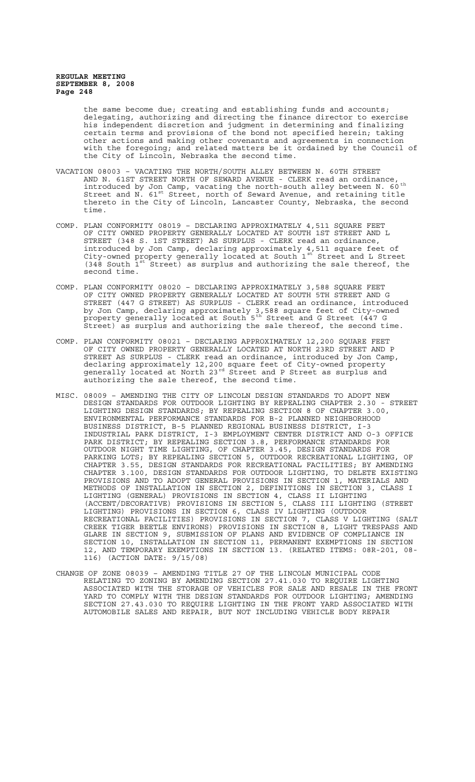the same become due; creating and establishing funds and accounts; delegating, authorizing and directing the finance director to exercise his independent discretion and judgment in determining and finalizing certain terms and provisions of the bond not specified herein; taking other actions and making other covenants and agreements in connection with the foregoing; and related matters be it ordained by the Council of the City of Lincoln, Nebraska the second time.

- VACATION 08003 VACATING THE NORTH/SOUTH ALLEY BETWEEN N. 60TH STREET AND N. 61ST STREET NORTH OF SEWARD AVENUE - CLERK read an ordinance, introduced by Jon Camp, vacating the north-south alley between N.  $60^{\text{th}}$ Street and N.  $61^{st}$  Street, north of Seward Avenue, and retaining title thereto in the City of Lincoln, Lancaster County, Nebraska, the second time.
- COMP. PLAN CONFORMITY 08019 DECLARING APPROXIMATELY 4,511 SQUARE FEET OF CITY OWNED PROPERTY GENERALLY LOCATED AT SOUTH 1ST STREET AND L STREET (348 S. 1ST STREET) AS SURPLUS - CLERK read an ordinance, introduced by Jon Camp, declaring approximately 4,511 square feet of City-owned property generally located at South 1st Street and L Street  $(348$  South  $1^{st}$  Street) as surplus and authorizing the sale thereof, the second time.
- COMP. PLAN CONFORMITY 08020 DECLARING APPROXIMATELY 3,588 SQUARE FEET OF CITY OWNED PROPERTY GENERALLY LOCATED AT SOUTH 5TH STREET AND G STREET (447 G STREET) AS SURPLUS - CLERK read an ordinance, introduced by Jon Camp, declaring approximately 3,588 square feet of City-owned property generally located at South 5<sup>th</sup> Street and G Street (447 G Street) as surplus and authorizing the sale thereof, the second time.
- COMP. PLAN CONFORMITY 08021 DECLARING APPROXIMATELY 12,200 SQUARE FEET OF CITY OWNED PROPERTY GENERALLY LOCATED AT NORTH 23RD STREET AND P STREET AS SURPLUS - CLERK read an ordinance, introduced by Jon Camp, declaring approximately 12,200 square feet of City-owned property generally located at North 23rd Street and P Street as surplus and authorizing the sale thereof, the second time.
- MISC. 08009 AMENDING THE CITY OF LINCOLN DESIGN STANDARDS TO ADOPT NEW DESIGN STANDARDS FOR OUTDOOR LIGHTING BY REPEALING CHAPTER 2.30 - STREET LIGHTING DESIGN STANDARDS; BY REPEALING SECTION 8 OF CHAPTER 3.00, ENVIRONMENTAL PERFORMANCE STANDARDS FOR B-2 PLANNED NEIGHBORHOOD BUSINESS DISTRICT, B-5 PLANNED REGIONAL BUSINESS DISTRICT, I-3 INDUSTRIAL PARK DISTRICT, I-3 EMPLOYMENT CENTER DISTRICT AND O-3 OFFICE PARK DISTRICT; BY REPEALING SECTION 3.8, PERFORMANCE STANDARDS FOR OUTDOOR NIGHT TIME LIGHTING, OF CHAPTER 3.45, DESIGN STANDARDS FOR PARKING LOTS; BY REPEALING SECTION 5, OUTDOOR RECREATIONAL LIGHTING, OF CHAPTER 3.55, DESIGN STANDARDS FOR RECREATIONAL FACILITIES; BY AMENDING CHAPTER 3.100, DESIGN STANDARDS FOR OUTDOOR LIGHTING, TO DELETE EXISTING PROVISIONS AND TO ADOPT GENERAL PROVISIONS IN SECTION 1, MATERIALS AND METHODS OF INSTALLATION IN SECTION 2, DEFINITIONS IN SECTION 3, CLASS I LIGHTING (GENERAL) PROVISIONS IN SECTION 4, CLASS II LIGHTING (ACCENT/DECORATIVE) PROVISIONS IN SECTION 5, CLASS III LIGHTING (STREET LIGHTING) PROVISIONS IN SECTION 6, CLASS IV LIGHTING (OUTDOOR RECREATIONAL FACILITIES) PROVISIONS IN SECTION 7, CLASS V LIGHTING (SALT CREEK TIGER BEETLE ENVIRONS) PROVISIONS IN SECTION 8, LIGHT TRESPASS AND GLARE IN SECTION 9, SUBMISSION OF PLANS AND EVIDENCE OF COMPLIANCE IN SECTION 10, INSTALLATION IN SECTION 11, PERMANENT EXEMPTIONS IN SECTION 12, AND TEMPORARY EXEMPTIONS IN SECTION 13. (RELATED ITEMS: 08R-201, 08-116) (ACTION DATE: 9/15/08)
- CHANGE OF ZONE 08039 AMENDING TITLE 27 OF THE LINCOLN MUNICIPAL CODE RELATING TO ZONING BY AMENDING SECTION 27.41.030 TO REQUIRE LIGHTING ASSOCIATED WITH THE STORAGE OF VEHICLES FOR SALE AND RESALE IN THE FRONT YARD TO COMPLY WITH THE DESIGN STANDARDS FOR OUTDOOR LIGHTING; AMENDING SECTION 27.43.030 TO REQUIRE LIGHTING IN THE FRONT YARD ASSOCIATED WITH AUTOMOBILE SALES AND REPAIR, BUT NOT INCLUDING VEHICLE BODY REPAIR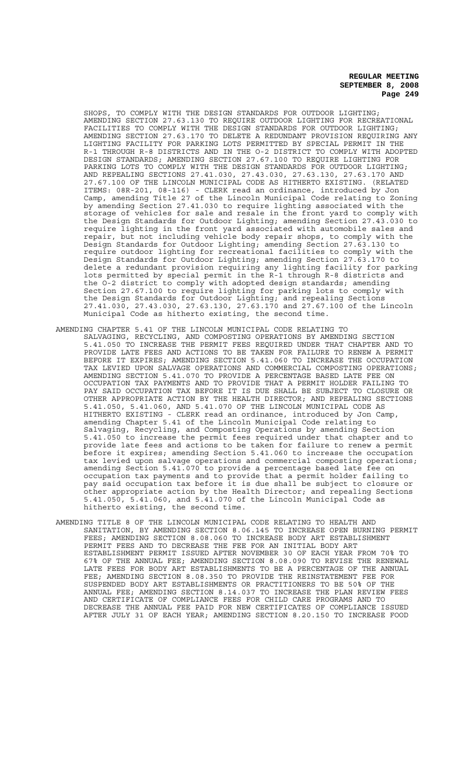SHOPS, TO COMPLY WITH THE DESIGN STANDARDS FOR OUTDOOR LIGHTING; AMENDING SECTION 27.63.130 TO REQUIRE OUTDOOR LIGHTING FOR RECREATIONAL FACILITIES TO COMPLY WITH THE DESIGN STANDARDS FOR OUTDOOR LIGHTING; AMENDING SECTION 27.63.170 TO DELETE A REDUNDANT PROVISION REQUIRING ANY LIGHTING FACILITY FOR PARKING LOTS PERMITTED BY SPECIAL PERMIT IN THE R-1 THROUGH R-8 DISTRICTS AND IN THE O-2 DISTRICT TO COMPLY WITH ADOPTED DESIGN STANDARDS; AMENDING SECTION 27.67.100 TO REQUIRE LIGHTING FOR PARKING LOTS TO COMPLY WITH THE DESIGN STANDARDS FOR OUTDOOR LIGHTING; AND REPEALING SECTIONS 27.41.030, 27.43.030, 27.63.130, 27.63.170 AND<br>27.67.100 OF THE LINCOLN MUNICIPAL CODE AS HITHERTO EXISTING. (RELATED 27.67.100 OF THE LINCOLN MUNICIPAL CODE AS HITHERTO EXISTING. ITEMS: 08R-201, 08-116) - CLERK read an ordinance, introduced by Jon Camp, amending Title 27 of the Lincoln Municipal Code relating to Zoning by amending Section 27.41.030 to require lighting associated with the vehicles for sale and resale in the front yard to comply with the Design Standards for Outdoor Lighting; amending Section 27.43.030 to require lighting in the front yard associated with automobile sales and repair, but not including vehicle body repair shops, to comply with the Design Standards for Outdoor Lighting; amending Section 27.63.130 to require outdoor lighting for recreational facilities to comply with the Design Standards for Outdoor Lighting; amending Section 27.63.170 to delete a redundant provision requiring any lighting facility for parking lots permitted by special permit in the R-1 through R-8 districts and the O-2 district to comply with adopted design standards; amending Section 27.67.100 to require lighting for parking lots to comply with the Design Standards for Outdoor Lighting; and repealing Sections 27.41.030, 27.43.030, 27.63.130, 27.63.170 and 27.67.100 of the Lincoln Municipal Code as hitherto existing, the second time.

- AMENDING CHAPTER 5.41 OF THE LINCOLN MUNICIPAL CODE RELATING TO SALVAGING, RECYCLING, AND COMPOSTING OPERATIONS BY AMENDING SECTION 5.41.050 TO INCREASE THE PERMIT FEES REQUIRED UNDER THAT CHAPTER AND TO PROVIDE LATE FEES AND ACTIONS TO BE TAKEN FOR FAILURE TO RENEW A PERMIT IT EXPIRES; AMENDING SECTION 5.41.060 TO INCREASE THE OCCUPATION TAX LEVIED UPON SALVAGE OPERATIONS AND COMMERCIAL COMPOSTING OPERATIONS; AMENDING SECTION 5.41.070 TO PROVIDE A PERCENTAGE BASED LATE FEE ON OCCUPATION TAX PAYMENTS AND TO PROVIDE THAT A PERMIT HOLDER FAILING TO PAY SAID OCCUPATION TAX BEFORE IT IS DUE SHALL BE SUBJECT TO CLOSURE OR OTHER APPROPRIATE ACTION BY THE HEALTH DIRECTOR; AND REPEALING SECTIONS 5.41.050, 5.41.060, AND 5.41.070 OF THE LINCOLN MUNICIPAL CODE AS HITHERTO EXISTING - CLERK read an ordinance, introduced by Jon Camp, amending Chapter 5.41 of the Lincoln Municipal Code relating to Salvaging, Recycling, and Composting Operations by amending Section 5.41.050 to increase the permit fees required under that chapter and to provide late fees and actions to be taken for failure to renew a permit before it expires; amending Section 5.41.060 to increase the occupation tax levied upon salvage operations and commercial composting operations; amending Section 5.41.070 to provide a percentage based late fee on occupation tax payments and to provide that a permit holder failing to pay said occupation tax before it is due shall be subject to closure or other appropriate action by the Health Director; and repealing Sections 5.41.050, 5.41.060, and 5.41.070 of the Lincoln Municipal Code as hitherto existing, the second time.
- AMENDING TITLE 8 OF THE LINCOLN MUNICIPAL CODE RELATING TO HEALTH AND SANITATION, BY AMENDING SECTION 8.06.145 TO INCREASE OPEN BURNING PERMIT FEES; AMENDING SECTION 8.08.060 TO INCREASE BODY ART ESTABLISHMENT PERMIT FEES AND TO DECREASE THE FEE FOR AN INITIAL BODY ART ESTABLISHMENT PERMIT ISSUED AFTER NOVEMBER 30 OF EACH YEAR FROM 70% TO 67% OF THE ANNUAL FEE; AMENDING SECTION 8.08.090 TO REVISE THE RENEWAL LATE FEES FOR BODY ART ESTABLISHMENTS TO BE A PERCENTAGE OF THE ANNUAL FEE; AMENDING SECTION 8.08.350 TO PROVIDE THE REINSTATEMENT FEE FOR SUSPENDED BODY ART ESTABLISHMENTS OR PRACTITIONERS TO BE 50% OF THE ANNUAL FEE; AMENDING SECTION 8.14.037 TO INCREASE THE PLAN REVIEW FEES AND CERTIFICATE OF COMPLIANCE FEES FOR CHILD CARE PROGRAMS AND TO DECREASE THE ANNUAL FEE PAID FOR NEW CERTIFICATES OF COMPLIANCE ISSUED AFTER JULY 31 OF EACH YEAR; AMENDING SECTION 8.20.150 TO INCREASE FOOD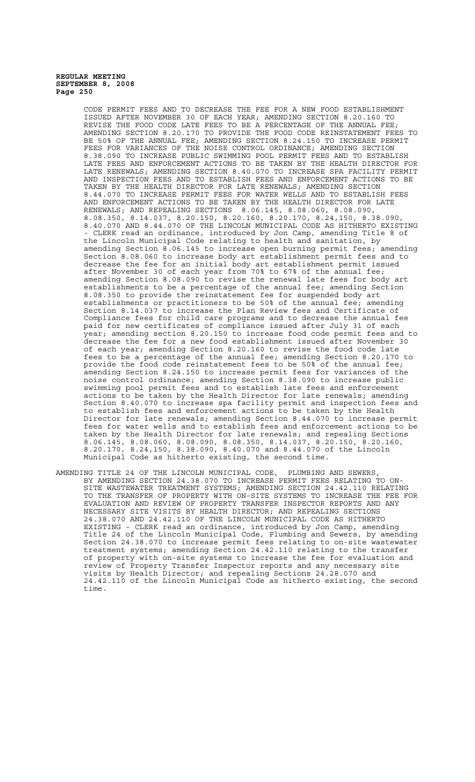CODE PERMIT FEES AND TO DECREASE THE FEE FOR A NEW FOOD ESTABLISHMENT ISSUED AFTER NOVEMBER 30 OF EACH YEAR; AMENDING SECTION 8.20.160 TO REVISE THE FOOD CODE LATE FEES TO BE A PERCENTAGE OF THE ANNUAL FEE; AMENDING SECTION 8.20.170 TO PROVIDE THE FOOD CODE REINSTATEMENT FEES TO BE 50% OF THE ANNUAL FEE; AMENDING SECTION 8.24.150 TO INCREASE PERMIT FEES FOR VARIANCES OF THE NOISE CONTROL ORDINANCE; AMENDING SECTION 8.38.090 TO INCREASE PUBLIC SWIMMING POOL PERMIT FEES AND TO ESTABLISH LATE FEES AND ENFORCEMENT ACTIONS TO BE TAKEN BY THE HEALTH DIRECTOR FOR LATE RENEWALS; AMENDING SECTION 8.40.070 TO INCREASE SPA FACILITY PERMIT AND INSPECTION FEES AND TO ESTABLISH FEES AND ENFORCEMENT ACTIONS TO BE TAKEN BY THE HEALTH DIRECTOR FOR LATE RENEWALS; AMENDING SECTION 8.44.070 TO INCREASE PERMIT FEES FOR WATER WELLS AND TO ESTABLISH FEES AND ENFORCEMENT ACTIONS TO BE TAKEN BY THE HEALTH DIRECTOR FOR LATE RENEWALS; AND REPEALING SECTIONS 8.06.145, 8.08.060, 8.08.090, 8.08.350, 8.14.037, 8.20.150, 8.20.160, 8.20.170, 8.24,150, 8.38.090, 8.40.070 AND 8.44.070 OF THE LINCOLN MUNICIPAL CODE AS HITHERTO EXISTING - CLERK read an ordinance, introduced by Jon Camp, amending Title 8 of the Lincoln Municipal Code relating to health and sanitation, by amending Section 8.06.145 to increase open burning permit fees; amending Section 8.08.060 to increase body art establishment permit fees and to decrease the fee for an initial body art establishment permit issued after November 30 of each year from 70% to 67% of the annual fee; amending Section 8.08.090 to revise the renewal late fees for body art establishments to be a percentage of the annual fee; amending Section 8.08.350 to provide the reinstatement fee for suspended body art establishments or practitioners to be 50% of the annual fee; amending Section 8.14.037 to increase the Plan Review fees and Certificate of Compliance fees for child care programs and to decrease the annual fee paid for new certificates of compliance issued after July 31 of each year; amending section 8.20.150 to increase food code permit fees and to decrease the fee for a new food establishment issued after November 30 of each year; amending Section 8.20.160 to revise the food code late fees to be a percentage of the annual fee; amending Section 8.20.170 to provide the food code reinstatement fees to be 50% of the annual fee; amending Section 8.24.150 to increase permit fees for variances of the noise control ordinance; amending Section 8.38.090 to increase public swimming pool permit fees and to establish late fees and enforcement actions to be taken by the Health Director for late renewals; amending Section 8.40.070 to increase spa facility permit and inspection fees and to establish fees and enforcement actions to be taken by the Health Director for late renewals; amending Section 8.44.070 to increase permit fees for water wells and to establish fees and enforcement actions to be taken by the Health Director for late renewals; and repealing Sections 8.06.145, 8.08.060, 8.08.090, 8.08.350, 8.14.037, 8.20.150, 8.20.160, 8.20.170, 8.24,150, 8.38.090, 8.40.070 and 8.44.070 of the Lincoln Municipal Code as hitherto existing, the second time.

AMENDING TITLE 24 OF THE LINCOLN MUNICIPAL CODE, PLUMBING AND SEWERS, BY AMENDING SECTION 24.38.070 TO INCREASE PERMIT FEES RELATING TO ON-SITE WASTEWATER TREATMENT SYSTEMS; AMENDING SECTION 24.42.110 RELATING TO THE TRANSFER OF PROPERTY WITH ON-SITE SYSTEMS TO INCREASE THE FEE FOR EVALUATION AND REVIEW OF PROPERTY TRANSFER INSPECTOR REPORTS AND ANY NECESSARY SITE VISITS BY HEALTH DIRECTOR; AND REPEALING SECTIONS 24.38.070 AND 24.42.110 OF THE LINCOLN MUNICIPAL CODE AS HITHERTO EXISTING - CLERK read an ordinance, introduced by Jon Camp, amending Title 24 of the Lincoln Municipal Code, Plumbing and Sewers, by amending Section 24.38.070 to increase permit fees relating to on-site wastewater treatment systems; amending Section 24.42.110 relating to the transfer of property with on-site systems to increase the fee for evaluation and review of Property Transfer Inspector reports and any necessary site visits by Health Director; and repealing Sections 24.28.070 and 24.42.110 of the Lincoln Municipal Code as hitherto existing, the second time.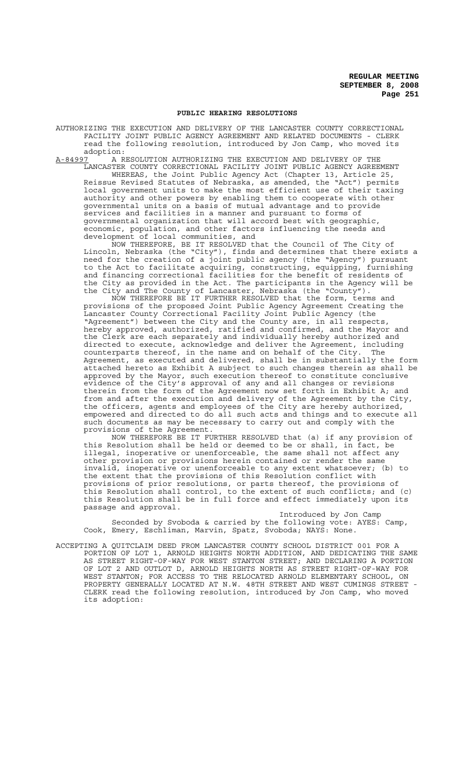#### **PUBLIC HEARING RESOLUTIONS**

AUTHORIZING THE EXECUTION AND DELIVERY OF THE LANCASTER COUNTY CORRECTIONAL FACILITY JOINT PUBLIC AGENCY AGREEMENT AND RELATED DOCUMENTS - CLERK read the following resolution, introduced by Jon Camp, who moved its

adoption:<br>A-84997 A R A-84997 A RESOLUTION AUTHORIZING THE EXECUTION AND DELIVERY OF THE LANCASTER COUNTY CORRECTIONAL FACILITY JOINT PUBLIC AGENCY AGREEMENT

WHEREAS, the Joint Public Agency Act (Chapter 13, Article 25, Reissue Revised Statutes of Nebraska, as amended, the "Act") permits local government units to make the most efficient use of their taxing authority and other powers by enabling them to cooperate with other governmental units on a basis of mutual advantage and to provide services and facilities in a manner and pursuant to forms of governmental organization that will accord best with geographic, economic, population, and other factors influencing the needs and development of local communities, and

NOW THEREFORE, BE IT RESOLVED that the Council of The City of Lincoln, Nebraska (the "City"), finds and determines that there exists a need for the creation of a joint public agency (the "Agency") pursuant to the Act to facilitate acquiring, constructing, equipping, furnishing and financing correctional facilities for the benefit of residents of the City as provided in the Act. The participants in the Agency will be the City and The County of Lancaster, Nebraska (the "County").

NOW THEREFORE BE IT FURTHER RESOLVED that the form, terms and provisions of the proposed Joint Public Agency Agreement Creating the Lancaster County Correctional Facility Joint Public Agency (the "Agreement") between the City and the County are, in all respects, hereby approved, authorized, ratified and confirmed, and the Mayor and the Clerk are each separately and individually hereby authorized and directed to execute, acknowledge and deliver the Agreement, including counterparts thereof, in the name and on behalf of the City. The Agreement, as executed and delivered, shall be in substantially the form attached hereto as Exhibit A subject to such changes therein as shall be approved by the Mayor, such execution thereof to constitute conclusive evidence of the City's approval of any and all changes or revisions therein from the form of the Agreement now set forth in Exhibit A; and from and after the execution and delivery of the Agreement by the City, the officers, agents and employees of the City are hereby authorized, empowered and directed to do all such acts and things and to execute all such documents as may be necessary to carry out and comply with the provisions of the Agreement.

NOW THEREFORE BE IT FURTHER RESOLVED that (a) if any provision of this Resolution shall be held or deemed to be or shall, in fact, be illegal, inoperative or unenforceable, the same shall not affect any other provision or provisions herein contained or render the same invalid, inoperative or unenforceable to any extent whatsoever; (b) to the extent that the provisions of this Resolution conflict with provisions of prior resolutions, or parts thereof, the provisions of this Resolution shall control, to the extent of such conflicts; and (c) this Resolution shall be in full force and effect immediately upon its passage and approval.

Introduced by Jon Camp Seconded by Svoboda & carried by the following vote: AYES: Camp, Cook, Emery, Eschliman, Marvin, Spatz, Svoboda; NAYS: None.

ACCEPTING A QUITCLAIM DEED FROM LANCASTER COUNTY SCHOOL DISTRICT 001 FOR A PORTION OF LOT 1, ARNOLD HEIGHTS NORTH ADDITION, AND DEDICATING THE SAME AS STREET RIGHT-OF-WAY FOR WEST STANTON STREET; AND DECLARING A PORTION OF LOT 2 AND OUTLOT D, ARNOLD HEIGHTS NORTH AS STREET RIGHT-OF-WAY FOR WEST STANTON; FOR ACCESS TO THE RELOCATED ARNOLD ELEMENTARY SCHOOL, ON PROPERTY GENERALLY LOCATED AT N.W. 48TH STREET AND WEST CUMINGS STREET CLERK read the following resolution, introduced by Jon Camp, who moved its adoption: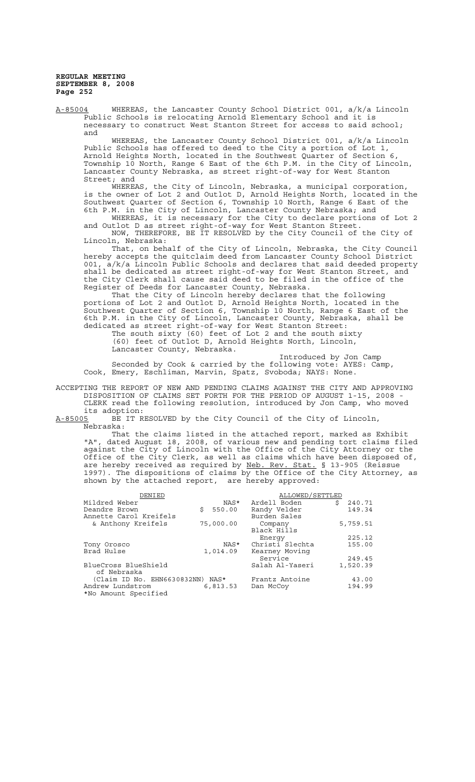A-85004 WHEREAS, the Lancaster County School District 001, a/k/a Lincoln Public Schools is relocating Arnold Elementary School and it is necessary to construct West Stanton Street for access to said school; and

WHEREAS, the Lancaster County School District 001, a/k/a Lincoln Public Schools has offered to deed to the City a portion of Lot 1, Arnold Heights North, located in the Southwest Quarter of Section 6, Township 10 North, Range 6 East of the 6th P.M. in the City of Lincoln, Lancaster County Nebraska, as street right-of-way for West Stanton Street; and

WHEREAS, the City of Lincoln, Nebraska, a municipal corporation, is the owner of Lot 2 and Outlot D, Arnold Heights North, located in the Southwest Quarter of Section 6, Township 10 North, Range 6 East of the 6th P.M. in the City of Lincoln, Lancaster County Nebraska; and WHEREAS, it is necessary for the City to declare portions of Lot 2

and Outlot D as street right-of-way for West Stanton Street. NOW, THEREFORE, BE IT RESOLVED by the City Council of the City of

Lincoln, Nebraska: That, on behalf of the City of Lincoln, Nebraska, the City Council hereby accepts the quitclaim deed from Lancaster County School District 001, a/k/a Lincoln Public Schools and declares that said deeded property shall be dedicated as street right-of-way for West Stanton Street, and the City Clerk shall cause said deed to be filed in the office of the Register of Deeds for Lancaster County, Nebraska.

That the City of Lincoln hereby declares that the following portions of Lot 2 and Outlot D, Arnold Heights North, located in the Southwest Quarter of Section 6, Township 10 North, Range 6 East of the 6th P.M. in the City of Lincoln, Lancaster County, Nebraska, shall be dedicated as street right-of-way for West Stanton Street:

The south sixty (60) feet of Lot 2 and the south sixty (60) feet of Outlot D, Arnold Heights North, Lincoln, Lancaster County, Nebraska.

Introduced by Jon Camp Seconded by Cook & carried by the following vote: AYES: Camp, Cook, Emery, Eschliman, Marvin, Spatz, Svoboda; NAYS: None.

ACCEPTING THE REPORT OF NEW AND PENDING CLAIMS AGAINST THE CITY AND APPROVING DISPOSITION OF CLAIMS SET FORTH FOR THE PERIOD OF AUGUST 1-15, 2008 - CLERK read the following resolution, introduced by Jon Camp, who moved

its adoption:<br><u>A-85005</u> BE IT R BE IT RESOLVED by the City Council of the City of Lincoln, Nebraska:

That the claims listed in the attached report, marked as Exhibit "A", dated August 18, 2008, of various new and pending tort claims filed against the City of Lincoln with the Office of the City Attorney or the Office of the City Clerk, as well as claims which have been disposed of, are hereby received as required by Neb. Rev. Stat. § 13-905 (Reissue 1997). The dispositions of claims by the Office of the City Attorney, as shown by the attached report, are hereby approved:

| DENIED                           |    |           | ALLOWED/SETTLED |    |          |
|----------------------------------|----|-----------|-----------------|----|----------|
| Mildred Weber                    |    | NAS*      | Ardell Boden    | Ś. | 240.71   |
| Deandre Brown                    | Ŝ. | 550.00    | Randy Velder    |    | 149.34   |
| Annette Carol Kreifels           |    |           | Burden Sales    |    |          |
| & Anthony Kreifels               |    | 75,000.00 | Company         |    | 5,759.51 |
|                                  |    |           | Black Hills     |    |          |
|                                  |    |           | Energy          |    | 225.12   |
| Tony Orosco                      |    | NAS*      | Christi Slechta |    | 155.00   |
| Brad Hulse                       |    | 1,014.09  | Kearney Moving  |    |          |
|                                  |    |           | Service         |    | 249.45   |
| BlueCross BlueShield             |    |           | Salah Al-Yaseri |    | 1,520.39 |
| of Nebraska                      |    |           |                 |    |          |
| (Claim ID No. EHN6630832NN) NAS* |    |           | Frantz Antoine  |    | 43.00    |
| Andrew Lundstrom                 |    | 6,813.53  | Dan McCoy       |    | 194.99   |
| *No Amount Specified             |    |           |                 |    |          |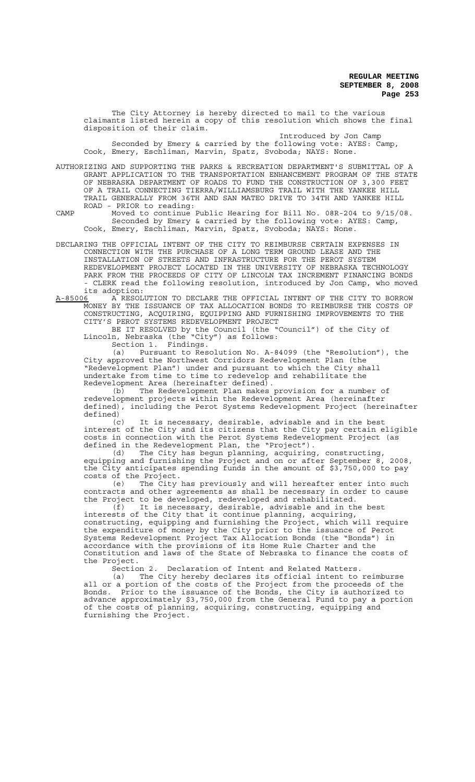The City Attorney is hereby directed to mail to the various claimants listed herein a copy of this resolution which shows the final disposition of their claim.

Introduced by Jon Camp Seconded by Emery & carried by the following vote: AYES: Camp, Cook, Emery, Eschliman, Marvin, Spatz, Svoboda; NAYS: None.

AUTHORIZING AND SUPPORTING THE PARKS & RECREATION DEPARTMENT'S SUBMITTAL OF A GRANT APPLICATION TO THE TRANSPORTATION ENHANCEMENT PROGRAM OF THE STATE OF NEBRASKA DEPARTMENT OF ROADS TO FUND THE CONSTRUCTION OF 3,300 FEET OF A TRAIL CONNECTING TIERRA/WILLIAMSBURG TRAIL WITH THE YANKEE HILL TRAIL GENERALLY FROM 36TH AND SAN MATEO DRIVE TO 34TH AND YANKEE HILL ROAD - PRIOR to reading:

CAMP Moved to continue Public Hearing for Bill No. 08R-204 to 9/15/08. Seconded by Emery & carried by the following vote: AYES: Camp, Cook, Emery, Eschliman, Marvin, Spatz, Svoboda; NAYS: None.

DECLARING THE OFFICIAL INTENT OF THE CITY TO REIMBURSE CERTAIN EXPENSES IN CONNECTION WITH THE PURCHASE OF A LONG TERM GROUND LEASE AND THE INSTALLATION OF STREETS AND INFRASTRUCTURE FOR THE PEROT SYSTEM REDEVELOPMENT PROJECT LOCATED IN THE UNIVERSITY OF NEBRASKA TECHNOLOGY PARK FROM THE PROCEEDS OF CITY OF LINCOLN TAX INCREMENT FINANCING BONDS - CLERK read the following resolution, introduced by Jon Camp, who moved

its adoption:<br><u>A-85006</u> A RESOL A-85006 A RESOLUTION TO DECLARE THE OFFICIAL INTENT OF THE CITY TO BORROW MONEY BY THE ISSUANCE OF TAX ALLOCATION BONDS TO REIMBURSE THE COSTS OF CONSTRUCTING, ACQUIRING, EQUIPPING AND FURNISHING IMPROVEMENTS TO THE CITY'S PEROT SYSTEMS REDEVELOPMENT PROJECT

BE IT RESOLVED by the Council (the "Council") of the City of Lincoln, Nebraska (the "City") as follows: Section 1. Findings.

(a) Pursuant to Resolution No. A-84099 (the "Resolution"), the City approved the Northwest Corridors Redevelopment Plan (the "Redevelopment Plan") under and pursuant to which the City shall undertake from time to time to redevelop and rehabilitate the Redevelopment Area (hereinafter defined).

The Redevelopment Plan makes provision for a number of redevelopment projects within the Redevelopment Area (hereinafter defined), including the Perot Systems Redevelopment Project (hereinafter defined)

(c) It is necessary, desirable, advisable and in the best interest of the City and its citizens that the City pay certain eligible costs in connection with the Perot Systems Redevelopment Project (as defined in the Redevelopment Plan, the "Project").<br>(d) The City has begun planning, acquiring

The City has begun planning, acquiring, constructing, equipping and furnishing the Project and on or after September 8, 2008, the City anticipates spending funds in the amount of \$3,750,000 to pay costs of the Project.

(e) The City has previously and will hereafter enter into such contracts and other agreements as shall be necessary in order to cause the Project to be developed, redeveloped and rehabilitated.

(f) It is necessary, desirable, advisable and in the best interests of the City that it continue planning, acquiring, constructing, equipping and furnishing the Project, which will require the expenditure of money by the City prior to the issuance of Perot Systems Redevelopment Project Tax Allocation Bonds (the "Bonds") in accordance with the provisions of its Home Rule Charter and the Constitution and laws of the State of Nebraska to finance the costs of the Project.<br>Section 2.

Declaration of Intent and Related Matters.

(a) The City hereby declares its official intent to reimburse all or a portion of the costs of the Project from the proceeds of the Bonds. Prior to the issuance of the Bonds, the City is authorized to advance approximately \$3,750,000 from the General Fund to pay a portion of the costs of planning, acquiring, constructing, equipping and furnishing the Project.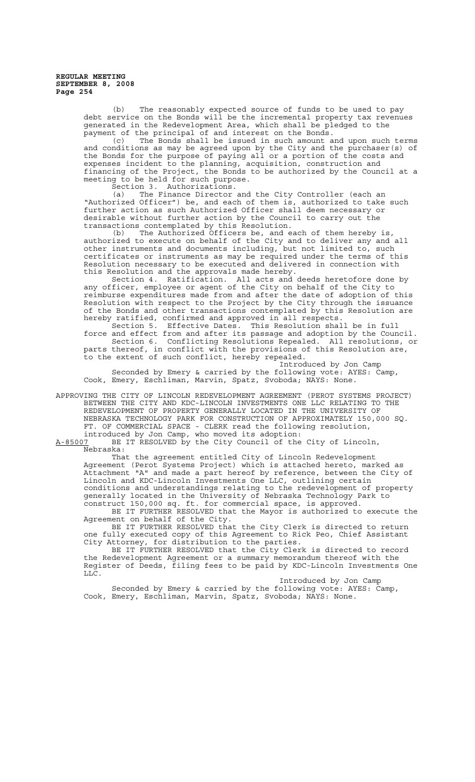(b) The reasonably expected source of funds to be used to pay debt service on the Bonds will be the incremental property tax revenues generated in the Redevelopment Area, which shall be pledged to the payment of the principal of and interest on the Bonds.

(c) The Bonds shall be issued in such amount and upon such terms and conditions as may be agreed upon by the City and the purchaser(s) of the Bonds for the purpose of paying all or a portion of the costs and expenses incident to the planning, acquisition, construction and financing of the Project, the Bonds to be authorized by the Council at a meeting to be held for such purpose.

Section 3. Authorizations.

(a) The Finance Director and the City Controller (each an "Authorized Officer") be, and each of them is, authorized to take such further action as such Authorized Officer shall deem necessary or desirable without further action by the Council to carry out the transactions contemplated by this Resolution.

(b) The Authorized Officers be, and each of them hereby is, authorized to execute on behalf of the City and to deliver any and all other instruments and documents including, but not limited to, such certificates or instruments as may be required under the terms of this Resolution necessary to be executed and delivered in connection with this Resolution and the approvals made hereby.

Section 4. Ratification. All acts and deeds heretofore done by any officer, employee or agent of the City on behalf of the City to reimburse expenditures made from and after the date of adoption of this Resolution with respect to the Project by the City through the issuance of the Bonds and other transactions contemplated by this Resolution are hereby ratified, confirmed and approved in all respects.

Section 5. Effective Dates. This Resolution shall be in full force and effect from and after its passage and adoption by the Council. Section 6. Conflicting Resolutions Repealed. parts thereof, in conflict with the provisions of this Resolution are, to the extent of such conflict, hereby repealed.

Introduced by Jon Camp Seconded by Emery & carried by the following vote: AYES: Camp, Cook, Emery, Eschliman, Marvin, Spatz, Svoboda; NAYS: None.

APPROVING THE CITY OF LINCOLN REDEVELOPMENT AGREEMENT (PEROT SYSTEMS PROJECT) BETWEEN THE CITY AND KDC-LINCOLN INVESTMENTS ONE LLC RELATING TO THE REDEVELOPMENT OF PROPERTY GENERALLY LOCATED IN THE UNIVERSITY OF NEBRASKA TECHNOLOGY PARK FOR CONSTRUCTION OF APPROXIMATELY 150,000 SQ. FT. OF COMMERCIAL SPACE - CLERK read the following resolution, introduced by Jon Camp, who moved its adoption:

A-85007 BE IT RESOLVED by the City Council of the City of Lincoln, Nebraska:

That the agreement entitled City of Lincoln Redevelopment Agreement (Perot Systems Project) which is attached hereto, marked as Attachment "A" and made a part hereof by reference, between the City of Lincoln and KDC-Lincoln Investments One LLC, outlining certain conditions and understandings relating to the redevelopment of property generally located in the University of Nebraska Technology Park to construct 150,000 sq. ft. for commercial space, is approved.

BE IT FURTHER RESOLVED that the Mayor is authorized to execute the Agreement on behalf of the City.

BE IT FURTHER RESOLVED that the City Clerk is directed to return one fully executed copy of this Agreement to Rick Peo, Chief Assistant City Attorney, for distribution to the parties.

BE IT FURTHER RESOLVED that the City Clerk is directed to record the Redevelopment Agreement or a summary memorandum thereof with the Register of Deeds, filing fees to be paid by KDC-Lincoln Investments One  $LTC$ .

Introduced by Jon Camp

Seconded by Emery & carried by the following vote: AYES: Camp, Cook, Emery, Eschliman, Marvin, Spatz, Svoboda; NAYS: None.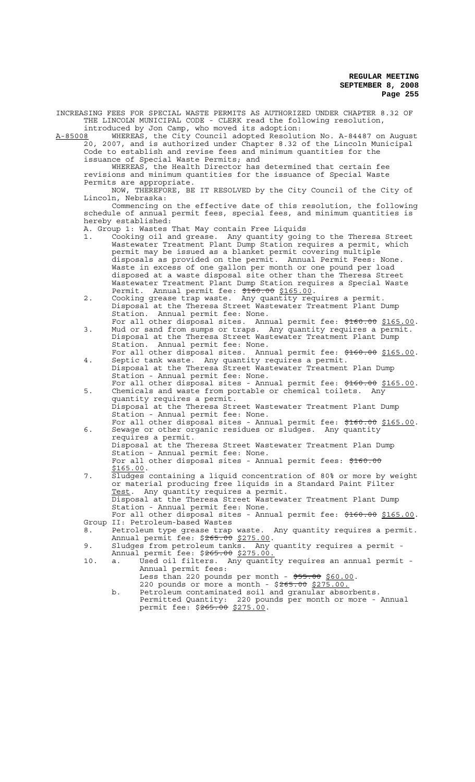INCREASING FEES FOR SPECIAL WASTE PERMITS AS AUTHORIZED UNDER CHAPTER 8.32 OF THE LINCOLN MUNICIPAL CODE - CLERK read the following resolution, introduced by Jon Camp, who moved its adoption:

A-85008 WHEREAS, the City Council adopted Resolution No. A-84487 on August 20, 2007, and is authorized under Chapter 8.32 of the Lincoln Municipal Code to establish and revise fees and minimum quantities for the issuance of Special Waste Permits; and

WHEREAS, the Health Director has determined that certain fee revisions and minimum quantities for the issuance of Special Waste Permits are appropriate.

NOW, THEREFORE, BE IT RESOLVED by the City Council of the City of Lincoln, Nebraska:

Commencing on the effective date of this resolution, the following schedule of annual permit fees, special fees, and minimum quantities is hereby established:

- A. Group 1: Wastes That May contain Free Liquids
- 1. Cooking oil and grease. Any quantity going to the Theresa Street Wastewater Treatment Plant Dump Station requires a permit, which permit may be issued as a blanket permit covering multiple disposals as provided on the permit. Annual Permit Fees: None. Waste in excess of one gallon per month or one pound per load disposed at a waste disposal site other than the Theresa Street Wastewater Treatment Plant Dump Station requires a Special Waste Permit. Annual permit fee: \$160.00 \$165.00.
- 2. Cooking grease trap waste. Any quantity requires a permit. Disposal at the Theresa Street Wastewater Treatment Plant Dump Station. Annual permit fee: None.
- For all other disposal sites. Annual permit fee: \$160.00 \$165.00. 3. Mud or sand from sumps or traps. Any quantity requires a permit. Disposal at the Theresa Street Wastewater Treatment Plant Dump Station. Annual permit fee: None.
- For all other disposal sites. Annual permit fee: \$160.00 \$165.00. 4. Septic tank waste. Any quantity requires a permit. Disposal at the Theresa Street Wastewater Treatment Plan Dump Station - Annual permit fee: None.
- For all other disposal sites Annual permit fee: \$160.00 \$165.00.<br>5. Chemicals and waste from portable or chemical toilets. Any quantity requires a permit. Disposal at the Theresa Street Wastewater Treatment Plant Dump Station - Annual permit fee: None. For all other disposal sites - Annual permit fee: \$160.00 \$165.00.
- 6. Sewage or other organic residues or sludges. Any quantity requires a permit. Disposal at the Theresa Street Wastewater Treatment Plan Dump Station - Annual permit fee: None. For all other disposal sites - Annual permit fees: \$160.00<br>\$165.00.
- 7. Sludges containing a liquid concentration of 80% or more by weight or material producing free liquids in a Standard Paint Filter Test. Any quantity requires a permit. Disposal at the Theresa Street Wastewater Treatment Plant Dump Station - Annual permit fee: None. For all other disposal sites - Annual permit fee:  $\frac{160.00}{165.00}$ .<br>Group II: Petroleum-based Wastes
- 8. Petroleum type grease trap waste. Any quantity requires a permit.<br>Annual permit fee: \$265.00 \$275.00.
- Annual permit fee: \$265.00 \$275.00.<br>9. Sludges from petroleum tanks. Any quantity requires a permit -
- Annual permit fee: \$<del>265.00</del> \$275.00. 10. a. Used oil filters. Any quantity requires an annual permit - Annual permit fees:
	- Less than 220 pounds per month \$55.00 \$60.00. 220 pounds or more a month - \$265.00 \$275.00.
	- b. Petroleum contaminated soil and granular absorbents. Permitted Quantity: 220 pounds per month or more - Annual permit fee: \$265.00 \$275.00.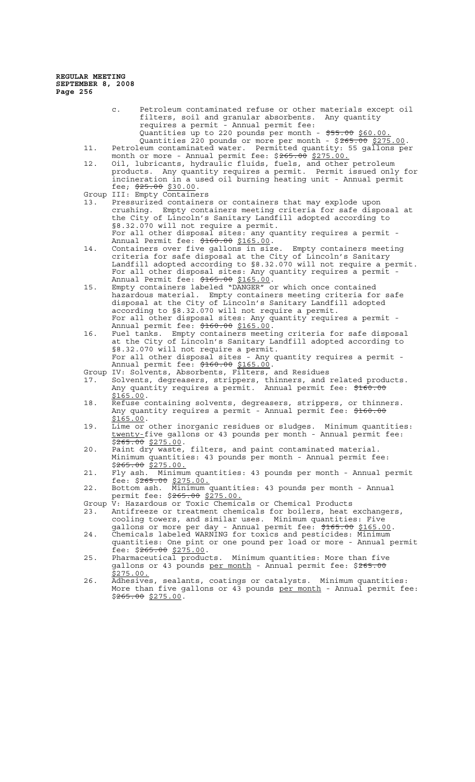- c. Petroleum contaminated refuse or other materials except oil filters, soil and granular absorbents. Any quantity<br>requires a permit - Annual permit fee: - Annual permit fee: Quantities up to 220 pounds per month - \$55.00 \$60.00. Quantities 220 pounds or more per month - \$265.00 \$275.00.
- 11. Petroleum contaminated water. Permitted quantity: 55 gallons per month or more - Annual permit fee: \$<del>265.00</del> \$275.00.
- 12. Oil, lubricants, hydraulic fluids, fuels, and other petroleum products. Any quantity requires a permit. Permit issued only for incineration in a used oil burning heating unit - Annual permit fee;  $\frac{25.00}{25.00}$  \$30.00.
- Group III: Empty Containers
- 13. Pressurized containers or containers that may explode upon crushing. Empty containers meeting criteria for safe disposal at the City of Lincoln's Sanitary Landfill adopted according to §8.32.070 will not require a permit. For all other disposal sites: any quantity requires a permit -
- Annual Permit fee: \$160.00 \$165.00. 14. Containers over five gallons in size. Empty containers meeting criteria for safe disposal at the City of Lincoln's Sanitary Landfill adopted according to §8.32.070 will not require a permit. For all other disposal sites: Any quantity requires a permit - Annual Permit fee: \$165.00 \$165.00.
- 15. Empty containers labeled "DANGER" or which once contained hazardous material. Empty containers meeting criteria for safe disposal at the City of Lincoln's Sanitary Landfill adopted according to §8.32.070 will not require a permit. For all other disposal sites: Any quantity requires a permit - Annual permit fee: \$160.00 \$165.00.
- 16. Fuel tanks. Empty containers meeting criteria for safe disposal at the City of Lincoln's Sanitary Landfill adopted according to §8.32.070 will not require a permit. For all other disposal sites - Any quantity requires a permit -Annual permit fee: \$160.00 \$165.00.
- Group IV: Solvents, Absorbents, Filters, and Residues
- 17. Solvents, degreasers, strippers, thinners, and related products. Any quantity requires a permit. Annual permit fee: \$160.00 \$165.00.<br>18. Refuse containing solvents, degreasers, strippers, or thinners.
- Any quantity requires a permit Annual permit fee: \$160.00 \$165.00.<br>19. Lime or other inorganic residues or sludges. Minimum quantities:
- twenty-five gallons or 43 pounds per month Annual permit fee:  $$265.00$  \$275.00.
- 20. Paint dry waste, filters, and paint contaminated material. Minimum quantities: 43 pounds per month - Annual permit fee: \$265.00 \$275.00.
- 21. Fly ash. Minimum quantities: 43 pounds per month Annual permit fee: \$265.00 \$275.00.
- 22. Bottom ash. Minimum quantities: 43 pounds per month Annual permit fee: \$265.00 \$275.00.
- Group V: Hazardous or Toxic Chemicals or Chemical Products 23. Antifreeze or treatment chemicals for boilers, heat exchangers, cooling towers, and similar uses. Minimum quantities: Five
- gallons or more per day Annual permit fee: \$165.00 \$165.00.<br>24. Chemicals labeled WARNING for toxics and pesticides: Minimum quantities: One pint or one pound per load or more - Annual permit
- fee: \$265.00 \$275.00. 25. Pharmaceutical products. Minimum quantities: More than five
- gallons or 43 pounds per month Annual permit fee: \$265.00 \$275.00.
- 26. Adhesives, sealants, coatings or catalysts. Minimum quantities: More than five gallons or  $43$  pounds per month - Annual permit fee:  $$265.00$  \$275.00.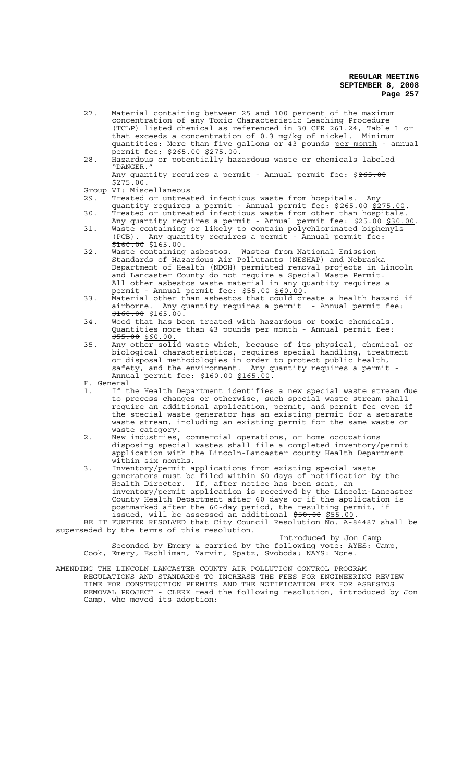- 27. Material containing between 25 and 100 percent of the maximum concentration of any Toxic Characteristic Leaching Procedure (TCLP) listed chemical as referenced in 30 CFR 261.24, Table 1 or that exceeds a concentration of 0.3 mg/kg of nickel. Minimum that exceeds a concentration of 0.3 mg/kg of nickel. Minimum<br>quantities: More than five gallons or 43 pounds <u>per month</u> - annual permit fee; \$<del>265.00</del> \$275.00.
- 28. Hazardous or potentially hazardous waste or chemicals labeled "DANGER." Any quantity requires a permit - Annual permit fee: \$265.00 \$275.00.

- Group VI: Miscellaneous<br>29. Treated or untrea Treated or untreated infectious waste from hospitals. Any
- quantity requires a permit Annual permit fee: \$265.00 \$275.00. 30. Treated or untreated infectious waste from other than hospitals.
- Any quantity requires a permit Annual permit fee: \$25.00 \$30.00. 31. Waste containing or likely to contain polychlorinated biphenyls (PCB). Any quantity requires a permit - Annual permit fee:
- \$160.00 \$165.00. 32. Waste containing asbestos. Wastes from National Emission Standards of Hazardous Air Pollutants (NESHAP) and Nebraska Department of Health (NDOH) permitted removal projects in Lincoln and Lancaster County do not require a Special Waste Permit. All other asbestos waste material in any quantity requires a permit - Annual permit fee: \$55.00 \$60.00.
- 33. Material other than asbestos that could create a health hazard if airborne. Any quantity requires a permit - Annual permit fee:  $\frac{$160.00}{$165.00}$ .
- 34. Wood that has been treated with hazardous or toxic chemicals. Quantities more than 43 pounds per month - Annual permit fee: \$55.00 \$60.00.
- 35. Any other solid waste which, because of its physical, chemical or biological characteristics, requires special handling, treatment or disposal methodologies in order to protect public health, safety, and the environment. Any quantity requires a permit - Annual permit fee: \$160.00 \$165.00.<br>F. General<br>1. If the Health Department identifies

- If the Health Department identifies a new special waste stream due to process changes or otherwise, such special waste stream shall require an additional application, permit, and permit fee even if the special waste generator has an existing permit for a separate waste stream, including an existing permit for the same waste or waste category.
- 2. New industries, commercial operations, or home occupations disposing special wastes shall file a completed inventory/permit application with the Lincoln-Lancaster county Health Department within six months.
- 3. Inventory/permit applications from existing special waste generators must be filed within 60 days of notification by the Health Director. If, after notice has been sent, an inventory/permit application is received by the Lincoln-Lancaster County Health Department after 60 days or if the application is postmarked after the 60-day period, the resulting permit, if issued, will be assessed an additional \$50.00 \$55.00.<br>BE IT FURTHER RESOLVED that City Council Resolution No. A-84487 shall be

superseded by the terms of this resolution.

Introduced by Jon Camp Seconded by Emery & carried by the following vote: AYES: Camp, Cook, Emery, Eschliman, Marvin, Spatz, Svoboda; NAYS: None.

AMENDING THE LINCOLN LANCASTER COUNTY AIR POLLUTION CONTROL PROGRAM REGULATIONS AND STANDARDS TO INCREASE THE FEES FOR ENGINEERING REVIEW TIME FOR CONSTRUCTION PERMITS AND THE NOTIFICATION FEE FOR ASBESTOS REMOVAL PROJECT - CLERK read the following resolution, introduced by Jon Camp, who moved its adoption: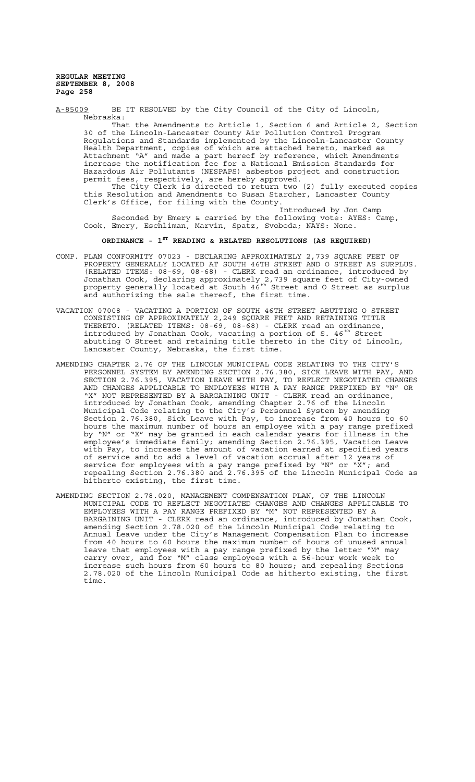A-85009 BE IT RESOLVED by the City Council of the City of Lincoln, Nebraska:

That the Amendments to Article 1, Section 6 and Article 2, Section 30 of the Lincoln-Lancaster County Air Pollution Control Program Regulations and Standards implemented by the Lincoln-Lancaster County Health Department, copies of which are attached hereto, marked as Attachment "A" and made a part hereof by reference, which Amendments increase the notification fee for a National Emission Standards for Hazardous Air Pollutants (NESPAPS) asbestos project and construction permit fees, respectively, are hereby approved.

The City Clerk is directed to return two (2) fully executed copies this Resolution and Amendments to Susan Starcher, Lancaster County Clerk's Office, for filing with the County.

Introduced by Jon Camp Seconded by Emery & carried by the following vote: AYES: Camp, Cook, Emery, Eschliman, Marvin, Spatz, Svoboda; NAYS: None.

# **ORDINANCE - 1ST READING & RELATED RESOLUTIONS (AS REQUIRED)**

- COMP. PLAN CONFORMITY 07023 DECLARING APPROXIMATELY 2,739 SQUARE FEET OF PROPERTY GENERALLY LOCATED AT SOUTH 46TH STREET AND O STREET AS SURPLUS. (RELATED ITEMS: 08-69, 08-68) - CLERK read an ordinance, introduced by Jonathan Cook, declaring approximately 2,739 square feet of City-owned property generally located at South 46<sup>th</sup> Street and O Street as surplus and authorizing the sale thereof, the first time.
- VACATION 07008 VACATING A PORTION OF SOUTH 46TH STREET ABUTTING O STREET CONSISTING OF APPROXIMATELY 2,249 SQUARE FEET AND RETAINING TITLE THERETO. (RELATED ITEMS: 08-69, 08-68) - CLERK read an ordinance, introduced by Jonathan Cook, vacating a portion of S. 46<sup>th</sup> Street abutting O Street and retaining title thereto in the City of Lincoln, Lancaster County, Nebraska, the first time.
- AMENDING CHAPTER 2.76 OF THE LINCOLN MUNICIPAL CODE RELATING TO THE CITY'S PERSONNEL SYSTEM BY AMENDING SECTION 2.76.380, SICK LEAVE WITH PAY, AND SECTION 2.76.395, VACATION LEAVE WITH PAY, TO REFLECT NEGOTIATED CHANGES AND CHANGES APPLICABLE TO EMPLOYEES WITH A PAY RANGE PREFIXED BY "N" OR "X" NOT REPRESENTED BY A BARGAINING UNIT - CLERK read an ordinance, introduced by Jonathan Cook, amending Chapter 2.76 of the Lincoln Municipal Code relating to the City's Personnel System by amending Section 2.76.380, Sick Leave with Pay, to increase from 40 hours to 60 hours the maximum number of hours an employee with a pay range prefixed by "N" or "X" may be granted in each calendar years for illness in the employee's immediate family; amending Section 2.76.395, Vacation Leave with Pay, to increase the amount of vacation earned at specified years of service and to add a level of vacation accrual after 12 years of service for employees with a pay range prefixed by "N" or "X"; and repealing Section 2.76.380 and 2.76.395 of the Lincoln Municipal Code as hitherto existing, the first time.
- AMENDING SECTION 2.78.020, MANAGEMENT COMPENSATION PLAN, OF THE LINCOLN MUNICIPAL CODE TO REFLECT NEGOTIATED CHANGES AND CHANGES APPLICABLE TO EMPLOYEES WITH A PAY RANGE PREFIXED BY "M" NOT REPRESENTED BY A BARGAINING UNIT - CLERK read an ordinance, introduced by Jonathan Cook, amending Section 2.78.020 of the Lincoln Municipal Code relating to Annual Leave under the City's Management Compensation Plan to increase from 40 hours to 60 hours the maximum number of hours of unused annual leave that employees with a pay range prefixed by the letter "M" may carry over, and for "M" class employees with a 56-hour work week to increase such hours from 60 hours to 80 hours; and repealing Sections 2.78.020 of the Lincoln Municipal Code as hitherto existing, the first time.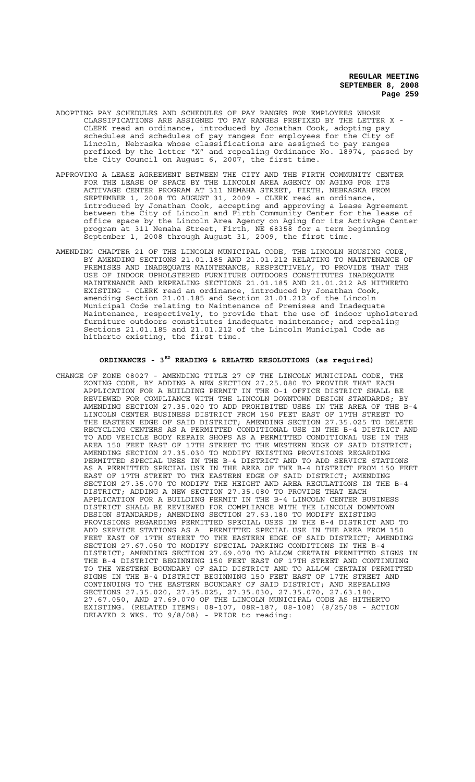- ADOPTING PAY SCHEDULES AND SCHEDULES OF PAY RANGES FOR EMPLOYEES WHOSE CLASSIFICATIONS ARE ASSIGNED TO PAY RANGES PREFIXED BY THE LETTER X - CLERK read an ordinance, introduced by Jonathan Cook, adopting pay schedules and schedules of pay ranges for employees for the City of Lincoln, Nebraska whose classifications are assigned to pay ranges prefixed by the letter "X" and repealing Ordinance No. 18974, passed by the City Council on August 6, 2007, the first time.
- APPROVING A LEASE AGREEMENT BETWEEN THE CITY AND THE FIRTH COMMUNITY CENTER FOR THE LEASE OF SPACE BY THE LINCOLN AREA AGENCY ON AGING FOR ITS ACTIVAGE CENTER PROGRAM AT 311 NEMAHA STREET, FIRTH, NEBRASKA FROM SEPTEMBER 1, 2008 TO AUGUST 31, 2009 - CLERK read an ordinance, introduced by Jonathan Cook, accepting and approving a Lease Agreement between the City of Lincoln and Firth Community Center for the lease of office space by the Lincoln Area Agency on Aging for its ActivAge Center program at 311 Nemaha Street, Firth, NE 68358 for a term beginning September 1, 2008 through August 31, 2009, the first time.
- AMENDING CHAPTER 21 OF THE LINCOLN MUNICIPAL CODE, THE LINCOLN HOUSING CODE, BY AMENDING SECTIONS 21.01.185 AND 21.01.212 RELATING TO MAINTENANCE OF PREMISES AND INADEQUATE MAINTENANCE, RESPECTIVELY, TO PROVIDE THAT THE USE OF INDOOR UPHOLSTERED FURNITURE OUTDOORS CONSTITUTES INADEQUATE MAINTENANCE AND REPEALING SECTIONS 21.01.185 AND 21.01.212 AS HITHERTO EXISTING - CLERK read an ordinance, introduced by Jonathan Cook, amending Section 21.01.185 and Section 21.01.212 of the Lincoln Municipal Code relating to Maintenance of Premises and Inadequate Maintenance, respectively, to provide that the use of indoor upholstered furniture outdoors constitutes inadequate maintenance; and repealing Sections 21.01.185 and 21.01.212 of the Lincoln Municipal Code as hitherto existing, the first time.

## **ORDINANCES - 3RD READING & RELATED RESOLUTIONS (as required)**

CHANGE OF ZONE 08027 - AMENDING TITLE 27 OF THE LINCOLN MUNICIPAL CODE, THE ZONING CODE, BY ADDING A NEW SECTION 27.25.080 TO PROVIDE THAT EACH APPLICATION FOR A BUILDING PERMIT IN THE O-1 OFFICE DISTRICT SHALL BE REVIEWED FOR COMPLIANCE WITH THE LINCOLN DOWNTOWN DESIGN STANDARDS; BY AMENDING SECTION 27.35.020 TO ADD PROHIBITED USES IN THE AREA OF THE B-4 LINCOLN CENTER BUSINESS DISTRICT FROM 150 FEET EAST OF 17TH STREET TO THE EASTERN EDGE OF SAID DISTRICT; AMENDING SECTION 27.35.025 TO DELETE RECYCLING CENTERS AS A PERMITTED CONDITIONAL USE IN THE B-4 DISTRICT AND TO ADD VEHICLE BODY REPAIR SHOPS AS A PERMITTED CONDITIONAL USE IN THE AREA 150 FEET EAST OF 17TH STREET TO THE WESTERN EDGE OF SAID DISTRICT; AMENDING SECTION 27.35.030 TO MODIFY EXISTING PROVISIONS REGARDING PERMITTED SPECIAL USES IN THE B-4 DISTRICT AND TO ADD SERVICE STATIONS AS A PERMITTED SPECIAL USE IN THE AREA OF THE B-4 DISTRICT FROM 150 FEET EAST OF 17TH STREET TO THE EASTERN EDGE OF SAID DISTRICT; AMENDING SECTION 27.35.070 TO MODIFY THE HEIGHT AND AREA REGULATIONS IN THE B-4 DISTRICT; ADDING A NEW SECTION 27.35.080 TO PROVIDE THAT EACH APPLICATION FOR A BUILDING PERMIT IN THE B-4 LINCOLN CENTER BUSINESS DISTRICT SHALL BE REVIEWED FOR COMPLIANCE WITH THE LINCOLN DOWNTOWN DESIGN STANDARDS; AMENDING SECTION 27.63.180 TO MODIFY EXISTING PROVISIONS REGARDING PERMITTED SPECIAL USES IN THE B-4 DISTRICT AND TO ADD SERVICE STATIONS AS A PERMITTED SPECIAL USE IN THE AREA FROM 150 FEET EAST OF 17TH STREET TO THE EASTERN EDGE OF SAID DISTRICT; AMENDING SECTION 27.67.050 TO MODIFY SPECIAL PARKING CONDITIONS IN THE B-4 DISTRICT; AMENDING SECTION 27.69.070 TO ALLOW CERTAIN PERMITTED SIGNS IN THE B-4 DISTRICT BEGINNING 150 FEET EAST OF 17TH STREET AND CONTINUING TO THE WESTERN BOUNDARY OF SAID DISTRICT AND TO ALLOW CERTAIN PERMITTED SIGNS IN THE B-4 DISTRICT BEGINNING 150 FEET EAST OF 17TH STREET AND CONTINUING TO THE EASTERN BOUNDARY OF SAID DISTRICT; AND REPEALING SECTIONS 27.35.020, 27.35.025, 27.35.030, 27.35.070, 27.63.180, 27.67.050, AND 27.69.070 OF THE LINCOLN MUNICIPAL CODE AS HITHERTO EXISTING. (RELATED ITEMS: 08-107, 08R-187, 08-108) (8/25/08 - ACTION DELAYED 2 WKS. TO 9/8/08) - PRIOR to reading: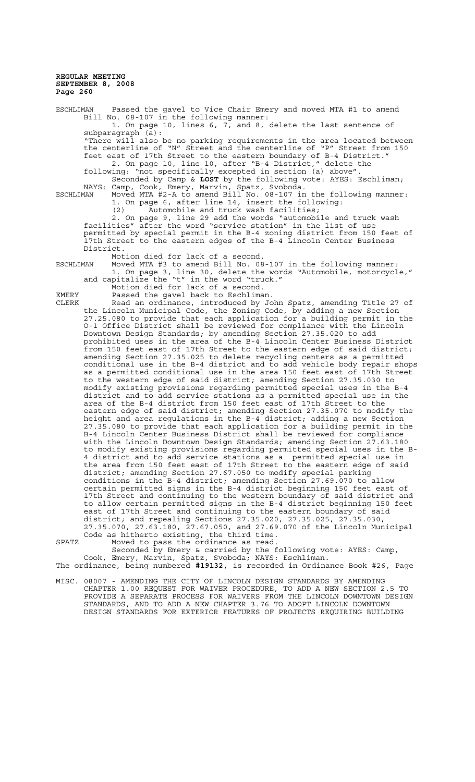ESCHLIMAN Passed the gavel to Vice Chair Emery and moved MTA #1 to amend Bill No. 08-107 in the following manner: 1. On page 10, lines 6, 7, and 8, delete the last sentence of subparagraph (a): "There will also be no parking requirements in the area located between the centerline of "N" Street and the centerline of "P" Street from 150 feet east of 17th Street to the eastern boundary of B-4 District." 2. On page 10, line 10, after "B-4 District," delete the following: "not specifically excepted in section (a) above". Seconded by Camp & **LOST** by the following vote: AYES: Eschliman; NAYS: Camp, Cook, Emery, Marvin, Spatz, Svoboda. ESCHLIMAN Moved MTA #2-A to amend Bill No. 08-107 in the following manner: 1. On page 6, after line 14, insert the following: (2) Automobile and truck wash facilities; 2. On page 9, line 29 add the words "automobile and truck wash facilities" after the word "service station" in the list of use permitted by special permit in the B-4 zoning district from 150 feet of 17th Street to the eastern edges of the B-4 Lincoln Center Business District. Motion died for lack of a second. ESCHLIMAN Moved MTA #3 to amend Bill No. 08-107 in the following manner: 1. On page 3, line 30, delete the words "Automobile, motorcycle," and capitalize the "t" in the word "truck." Motion died for lack of a second. EMERY Passed the gavel back to Eschliman. CLERK Read an ordinance, introduced by John Spatz, amending Title 27 of the Lincoln Municipal Code, the Zoning Code, by adding a new Section 27.25.080 to provide that each application for a building permit in the O-1 Office District shall be reviewed for compliance with the Lincoln Downtown Design Standards; by amending Section 27.35.020 to add prohibited uses in the area of the B-4 Lincoln Center Business District

.<br>from 150 feet east of 17th Street to the eastern edge of said district; amending Section 27.35.025 to delete recycling centers as a permitted conditional use in the B-4 district and to add vehicle body repair shops as a permitted conditional use in the area 150 feet east of 17th Street to the western edge of said district; amending Section 27.35.030 to modify existing provisions regarding permitted special uses in the B-4 district and to add service stations as a permitted special use in the area of the B-4 district from 150 feet east of 17th Street to the eastern edge of said district; amending Section 27.35.070 to modify the height and area regulations in the B-4 district; adding a new Section 27.35.080 to provide that each application for a building permit in the B-4 Lincoln Center Business District shall be reviewed for compliance with the Lincoln Downtown Design Standards; amending Section 27.63.180 to modify existing provisions regarding permitted special uses in the B-4 district and to add service stations as a permitted special use in the area from 150 feet east of 17th Street to the eastern edge of said district; amending Section 27.67.050 to modify special parking conditions in the B-4 district; amending Section 27.69.070 to allow certain permitted signs in the B-4 district beginning 150 feet east of 17th Street and continuing to the western boundary of said district and to allow certain permitted signs in the B-4 district beginning 150 feet east of 17th Street and continuing to the eastern boundary of said district; and repealing Sections 27.35.020, 27.35.025, 27.35.030, 27.35.070, 27.63.180, 27.67.050, and 27.69.070 of the Lincoln Municipal Code as hitherto existing, the third time.

SPATZ Moved to pass the ordinance as read. Seconded by Emery & carried by the following vote: AYES: Camp, Cook, Emery, Marvin, Spatz, Svoboda; NAYS: Eschliman.

The ordinance, being numbered **#19132**, is recorded in Ordinance Book #26, Page

MISC. 08007 - AMENDING THE CITY OF LINCOLN DESIGN STANDARDS BY AMENDING CHAPTER 1.00 REQUEST FOR WAIVER PROCEDURE, TO ADD A NEW SECTION 2.5 TO PROVIDE A SEPARATE PROCESS FOR WAIVERS FROM THE LINCOLN DOWNTOWN DESIGN STANDARDS, AND TO ADD A NEW CHAPTER 3.76 TO ADOPT LINCOLN DOWNTOWN DESIGN STANDARDS FOR EXTERIOR FEATURES OF PROJECTS REQUIRING BUILDING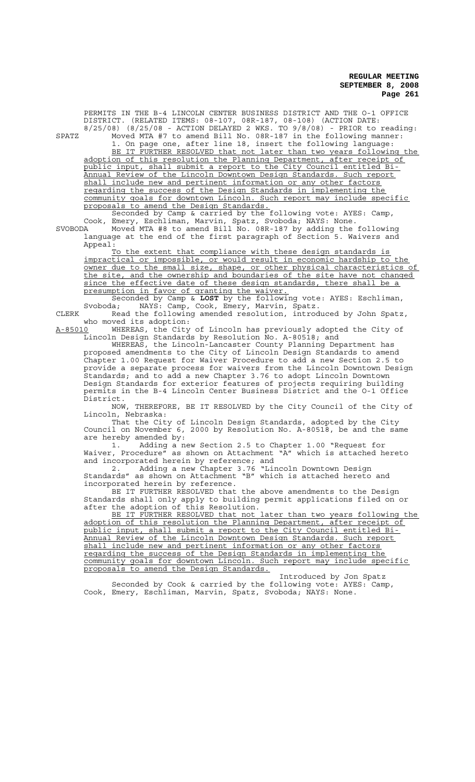PERMITS IN THE B-4 LINCOLN CENTER BUSINESS DISTRICT AND THE O-1 OFFICE DISTRICT. (RELATED ITEMS: 08-107, 08R-187, 08-108) (ACTION DATE: 8/25/08) (8/25/08 - ACTION DELAYED 2 WKS. TO 9/8/08) - PRIOR to reading: SPATZ Moved MTA #7 to amend Bill No. 08R-187 in the following manner: 1. On page one, after line 18, insert the following language: BE IT FURTHER RESOLVED that not later than two years following the adoption of this resolution the Planning Department, after receipt of public input, shall submit a report to the City Council entitled Bi-Annual Review of the Lincoln Downtown Design Standards. Such report shall include new and pertinent information or any other factors regarding the success of the Design Standards in implementing the community goals for downtown Lincoln. Such report may include specific community goals for downtown Lincoln. proposals to amend the Design Standards. Seconded by Camp & carried by the following vote: AYES: Camp, Cook, Emery, Eschliman, Marvin, Spatz, Svoboda; NAYS: None. SVOBODA Moved MTA #8 to amend Bill No. 08R-187 by adding the following language at the end of the first paragraph of Section 5. Waivers and Appeal: To the extent that compliance with these design standards is impractical or impossible, or would result in economic hardship to the owner due to the small size, shape, or other physical characteristics of the site, and the ownership and boundaries of the site have not changed since the effective date of these design standards, there shall be a presumption in favor of granting the waiver. Seconded by Camp & **LOST** by the following vote: AYES: Eschliman, Svoboda; NAYS: Camp, Cook, Emery, Marvin, Spatz. CLERK Read the following amended resolution, introduced by John Spatz, who moved its adoption: A-85010 WHEREAS, the City of Lincoln has previously adopted the City of Lincoln Design Standards by Resolution No. A-80518; and WHEREAS, the Lincoln-Lancaster County Planning Department has proposed amendments to the City of Lincoln Design Standards to amend Chapter 1.00 Request for Waiver Procedure to add a new Section 2.5 to provide a separate process for waivers from the Lincoln Downtown Design Standards; and to add a new Chapter 3.76 to adopt Lincoln Downtown Design Standards for exterior features of projects requiring building permits in the B-4 Lincoln Center Business District and the O-1 Office District.<br>NOW. THEREFORE, BE IT RESOLVED by the City Council of the City of Lincoln, Nebraska: That the City of Lincoln Design Standards, adopted by the City Council on November 6, 2000 by Resolution No. A-80518, be and the same are hereby amended by:<br>1. Adding a n 1. Adding a new Section 2.5 to Chapter 1.00 "Request for Waiver, Procedure" as shown on Attachment "A" which is attached he as shown on Attachment "A" which is attached hereto and incorporated herein by reference; and 2. Adding a new Chapter 3.76 "Lincoln Downtown Design 2. Adding a new Chapter 3.76 "Lincoln Downtown Design<br>Standards" as shown on Attachment "B" which is attached hereto and incorporated herein by reference. BE IT FURTHER RESOLVED that the above amendments to the Design Standards shall only apply to building permit applications filed on or after the adoption of this Resolution. BE IT FURTHER RESOLVED that not later than two years following the adoption of this resolution the Planning Department, after receipt of public input, shall submit a report to the City Council entitled Bi-Annual Review of the Lincoln Downtown Design Standards. Such report shall include new and pertinent information or any other factors regarding the success of the Design Standards in implementing the community goals for downtown Lincoln. Such report may include specific proposals to amend the Design Standards. Introduced by Jon Spatz Seconded by Cook & carried by the following vote: AYES: Camp, Cook, Emery, Eschliman, Marvin, Spatz, Svoboda; NAYS: None.